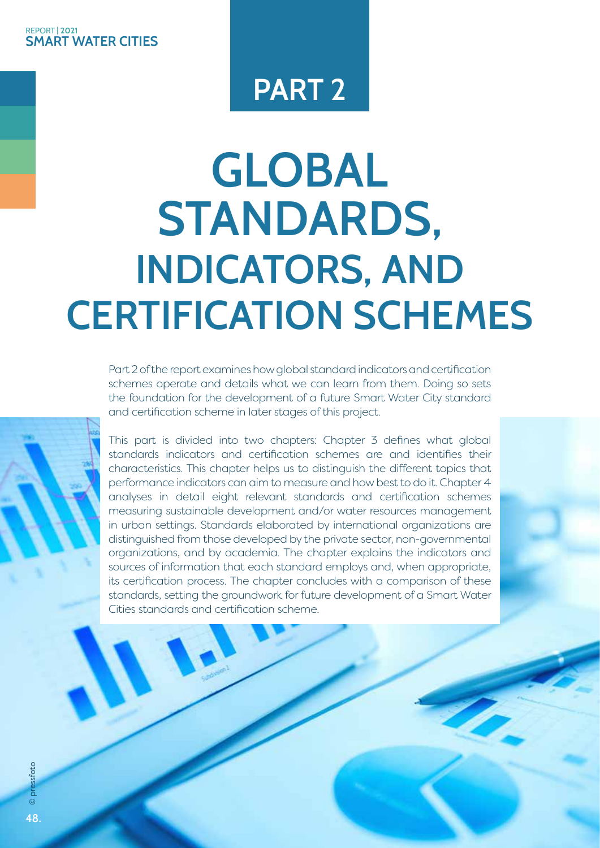#### **SMART WATER CITIES** REPORT **| 2021**

# **PART 2**

# **GLOBAL STANDARDS, INDICATORS, AND CERTIFICATION SCHEMES**

Part 2 of the report examines how global standard indicators and certification schemes operate and details what we can learn from them. Doing so sets the foundation for the development of a future Smart Water City standard and certification scheme in later stages of this project.

This part is divided into two chapters: Chapter 3 defines what global standards indicators and certification schemes are and identifies their characteristics. This chapter helps us to distinguish the different topics that performance indicators can aim to measure and how best to do it. Chapter 4 analyses in detail eight relevant standards and certification schemes measuring sustainable development and/or water resources management in urban settings. Standards elaborated by international organizations are distinguished from those developed by the private sector, non-governmental organizations, and by academia. The chapter explains the indicators and sources of information that each standard employs and, when appropriate, its certification process. The chapter concludes with a comparison of these standards, setting the groundwork for future development of a Smart Water Cities standards and certification scheme.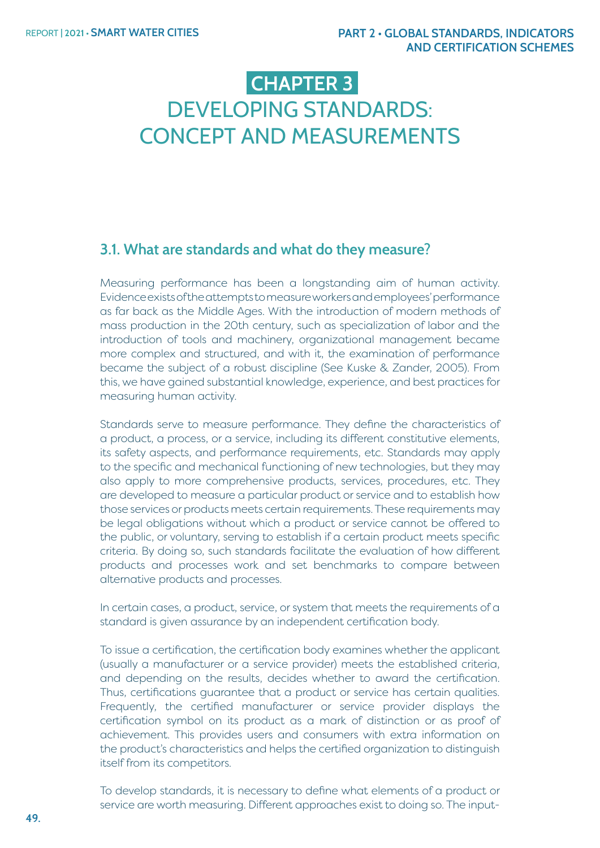# **CHAPTER 3**  DEVELOPING STANDARDS: CONCEPT AND MEASUREMENTS

# **3.1. What are standards and what do they measure?**

Measuring performance has been a longstanding aim of human activity. Evidence exists of the attempts to measure workers and employees' performance as far back as the Middle Ages. With the introduction of modern methods of mass production in the 20th century, such as specialization of labor and the introduction of tools and machinery, organizational management became more complex and structured, and with it, the examination of performance became the subject of a robust discipline (See Kuske & Zander, 2005). From this, we have gained substantial knowledge, experience, and best practices for measuring human activity.

Standards serve to measure performance. They define the characteristics of a product, a process, or a service, including its different constitutive elements, its safety aspects, and performance requirements, etc. Standards may apply to the specific and mechanical functioning of new technologies, but they may also apply to more comprehensive products, services, procedures, etc. They are developed to measure a particular product or service and to establish how those services or products meets certain requirements. These requirements may be legal obligations without which a product or service cannot be offered to the public, or voluntary, serving to establish if a certain product meets specific criteria. By doing so, such standards facilitate the evaluation of how different products and processes work and set benchmarks to compare between alternative products and processes.

In certain cases, a product, service, or system that meets the requirements of a standard is given assurance by an independent certification body.

To issue a certification, the certification body examines whether the applicant (usually a manufacturer or a service provider) meets the established criteria, and depending on the results, decides whether to award the certification. Thus, certifications guarantee that a product or service has certain qualities. Frequently, the certified manufacturer or service provider displays the certification symbol on its product as a mark of distinction or as proof of achievement. This provides users and consumers with extra information on the product's characteristics and helps the certified organization to distinguish itself from its competitors.

To develop standards, it is necessary to define what elements of a product or service are worth measuring. Different approaches exist to doing so. The input-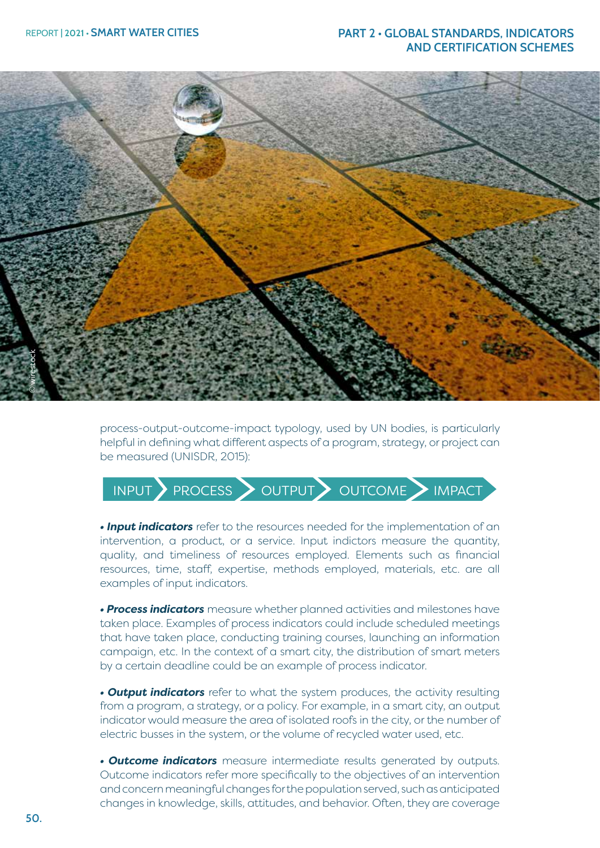

process-output-outcome-impact typology, used by UN bodies, is particularly helpful in defining what different aspects of a program, strategy, or project can be measured (UNISDR, 2015):

# INPUT PROCESS OUTPUT OUTCOME MPACT

*• Input indicators* refer to the resources needed for the implementation of an intervention, a product, or a service. Input indictors measure the quantity, quality, and timeliness of resources employed. Elements such as financial resources, time, staff, expertise, methods employed, materials, etc. are all examples of input indicators.

*• Process indicators* measure whether planned activities and milestones have taken place. Examples of process indicators could include scheduled meetings that have taken place, conducting training courses, launching an information campaign, etc. In the context of a smart city, the distribution of smart meters by a certain deadline could be an example of process indicator.

*• Output indicators* refer to what the system produces, the activity resulting from a program, a strategy, or a policy. For example, in a smart city, an output indicator would measure the area of isolated roofs in the city, or the number of electric busses in the system, or the volume of recycled water used, etc.

*• Outcome indicators* measure intermediate results generated by outputs. Outcome indicators refer more specifically to the objectives of an intervention and concern meaningful changes for the population served, such as anticipated changes in knowledge, skills, attitudes, and behavior. Often, they are coverage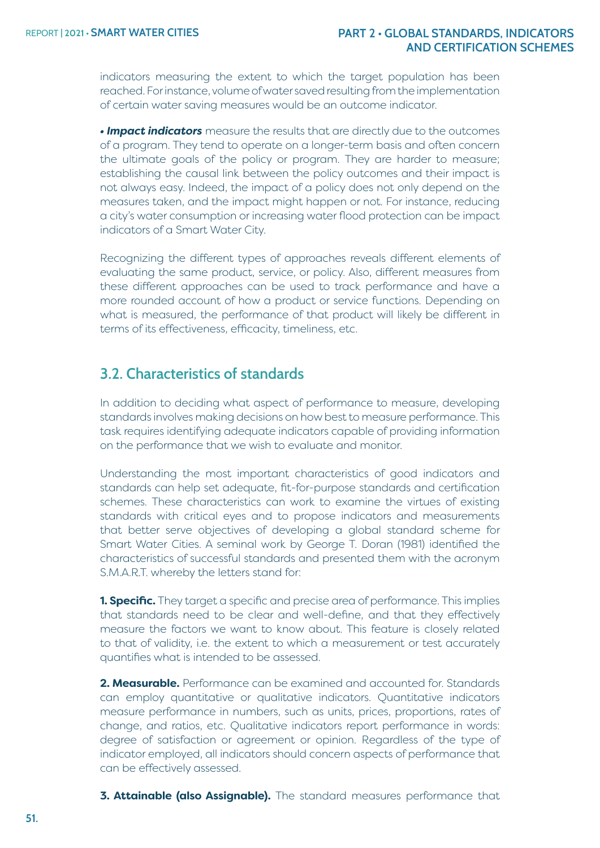indicators measuring the extent to which the target population has been reached. For instance, volume of water saved resulting from the implementation of certain water saving measures would be an outcome indicator.

*• Impact indicators* measure the results that are directly due to the outcomes of a program. They tend to operate on a longer-term basis and often concern the ultimate goals of the policy or program. They are harder to measure; establishing the causal link between the policy outcomes and their impact is not always easy. Indeed, the impact of a policy does not only depend on the measures taken, and the impact might happen or not. For instance, reducing a city's water consumption or increasing water flood protection can be impact indicators of a Smart Water City.

Recognizing the different types of approaches reveals different elements of evaluating the same product, service, or policy. Also, different measures from these different approaches can be used to track performance and have a more rounded account of how a product or service functions. Depending on what is measured, the performance of that product will likely be different in terms of its effectiveness, efficacity, timeliness, etc.

# **3.2. Characteristics of standards**

In addition to deciding what aspect of performance to measure, developing standards involves making decisions on how best to measure performance. This task requires identifying adequate indicators capable of providing information on the performance that we wish to evaluate and monitor.

Understanding the most important characteristics of good indicators and standards can help set adequate, fit-for-purpose standards and certification schemes. These characteristics can work to examine the virtues of existing standards with critical eyes and to propose indicators and measurements that better serve objectives of developing a global standard scheme for Smart Water Cities. A seminal work by George T. Doran (1981) identified the characteristics of successful standards and presented them with the acronym S.M.A.R.T. whereby the letters stand for:

**1. Specific.** They target a specific and precise area of performance. This implies that standards need to be clear and well-define, and that they effectively measure the factors we want to know about. This feature is closely related to that of validity, i.e. the extent to which a measurement or test accurately quantifies what is intended to be assessed.

**2. Measurable.** Performance can be examined and accounted for. Standards can employ quantitative or qualitative indicators. Quantitative indicators measure performance in numbers, such as units, prices, proportions, rates of change, and ratios, etc. Qualitative indicators report performance in words: degree of satisfaction or agreement or opinion. Regardless of the type of indicator employed, all indicators should concern aspects of performance that can be effectively assessed.

**3. Attainable (also Assignable).** The standard measures performance that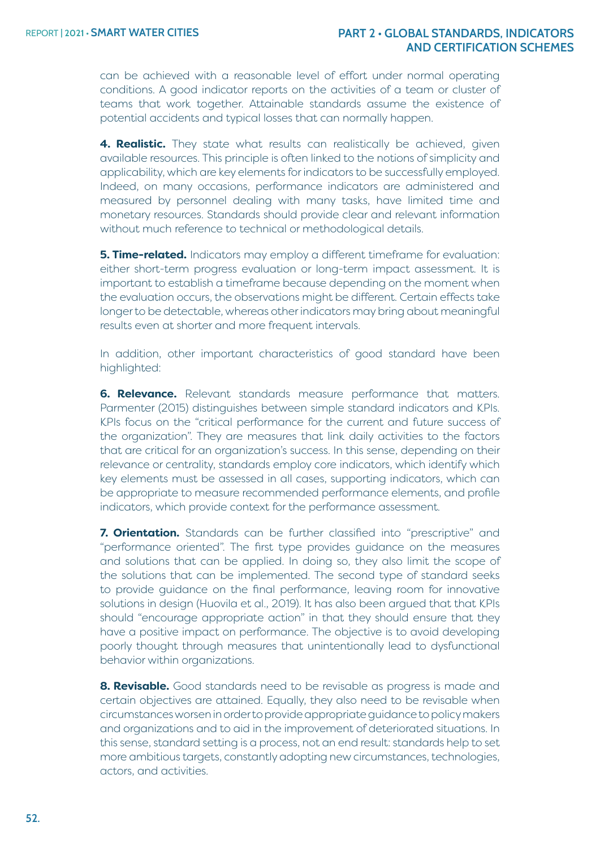can be achieved with a reasonable level of effort under normal operating conditions. A good indicator reports on the activities of a team or cluster of teams that work together. Attainable standards assume the existence of potential accidents and typical losses that can normally happen.

**4. Realistic.** They state what results can realistically be achieved, given available resources. This principle is often linked to the notions of simplicity and applicability, which are key elements for indicators to be successfully employed. Indeed, on many occasions, performance indicators are administered and measured by personnel dealing with many tasks, have limited time and monetary resources. Standards should provide clear and relevant information without much reference to technical or methodological details.

**5. Time-related.** Indicators may employ a different timeframe for evaluation: either short-term progress evaluation or long-term impact assessment. It is important to establish a timeframe because depending on the moment when the evaluation occurs, the observations might be different. Certain effects take longer to be detectable, whereas other indicators may bring about meaningful results even at shorter and more frequent intervals.

In addition, other important characteristics of good standard have been highlighted:

**6. Relevance.** Relevant standards measure performance that matters. Parmenter (2015) distinguishes between simple standard indicators and KPIs. KPIs focus on the "critical performance for the current and future success of the organization". They are measures that link daily activities to the factors that are critical for an organization's success. In this sense, depending on their relevance or centrality, standards employ core indicators, which identify which key elements must be assessed in all cases, supporting indicators, which can be appropriate to measure recommended performance elements, and profile indicators, which provide context for the performance assessment.

**7. Orientation.** Standards can be further classified into "prescriptive" and "performance oriented". The first type provides guidance on the measures and solutions that can be applied. In doing so, they also limit the scope of the solutions that can be implemented. The second type of standard seeks to provide guidance on the final performance, leaving room for innovative solutions in design (Huovila et al., 2019). It has also been argued that that KPIs should "encourage appropriate action" in that they should ensure that they have a positive impact on performance. The objective is to avoid developing poorly thought through measures that unintentionally lead to dysfunctional behavior within organizations.

**8. Revisable.** Good standards need to be revisable as progress is made and certain objectives are attained. Equally, they also need to be revisable when circumstances worsen in order to provide appropriate guidance to policy makers and organizations and to aid in the improvement of deteriorated situations. In this sense, standard setting is a process, not an end result: standards help to set more ambitious targets, constantly adopting new circumstances, technologies, actors, and activities.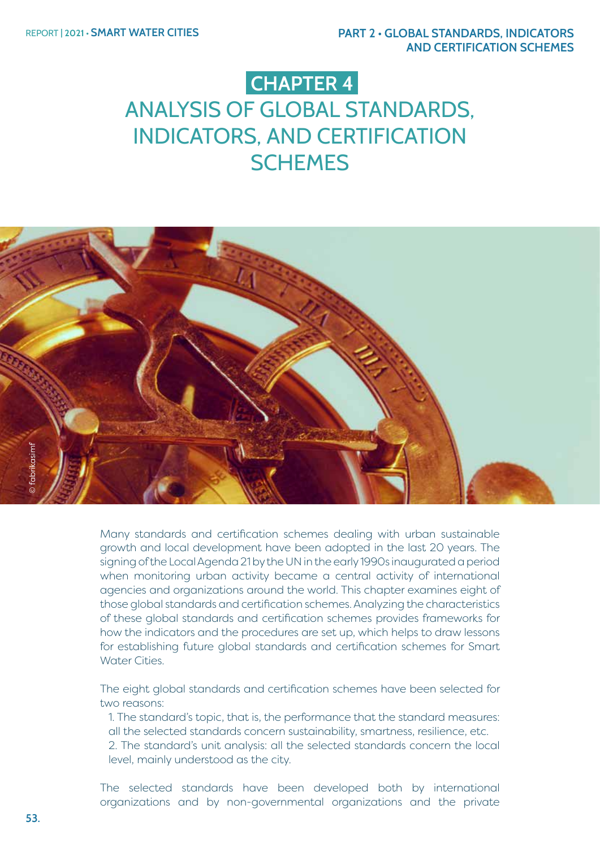# **CHAPTER 4**

# ANALYSIS OF GLOBAL STANDARDS, INDICATORS, AND CERTIFICATION **SCHEMES**



Many standards and certification schemes dealing with urban sustainable growth and local development have been adopted in the last 20 years. The signing of the Local Agenda 21 by the UN in the early 1990s inaugurated a period when monitoring urban activity became a central activity of international agencies and organizations around the world. This chapter examines eight of those global standards and certification schemes. Analyzing the characteristics of these global standards and certification schemes provides frameworks for how the indicators and the procedures are set up, which helps to draw lessons for establishing future global standards and certification schemes for Smart Water Cities.

The eight global standards and certification schemes have been selected for two reasons:

1. The standard's topic, that is, the performance that the standard measures: all the selected standards concern sustainability, smartness, resilience, etc. 2. The standard's unit analysis: all the selected standards concern the local level, mainly understood as the city.

The selected standards have been developed both by international organizations and by non-governmental organizations and the private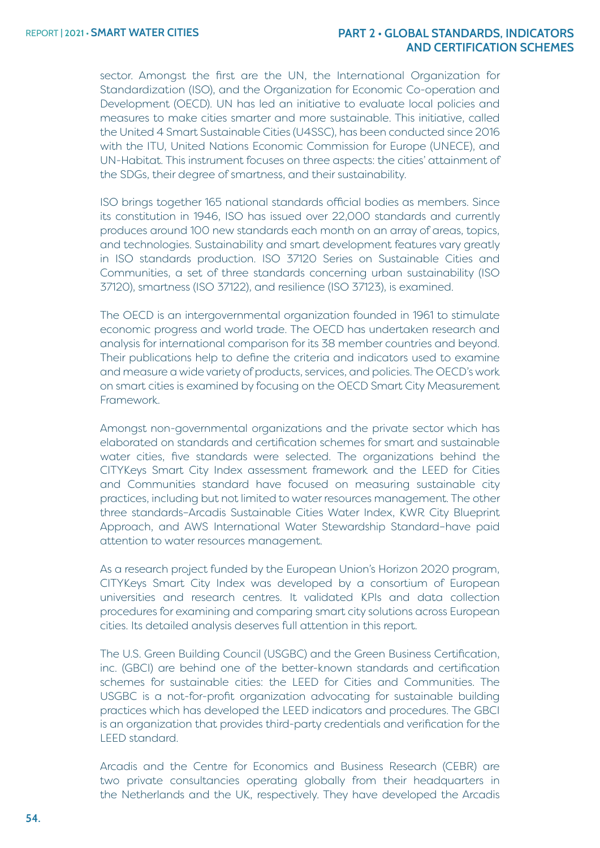sector. Amongst the first are the UN, the International Organization for Standardization (ISO), and the Organization for Economic Co-operation and Development (OECD). UN has led an initiative to evaluate local policies and measures to make cities smarter and more sustainable. This initiative, called the United 4 Smart Sustainable Cities (U4SSC), has been conducted since 2016 with the ITU, United Nations Economic Commission for Europe (UNECE), and UN-Habitat. This instrument focuses on three aspects: the cities' attainment of the SDGs, their degree of smartness, and their sustainability.

ISO brings together 165 national standards official bodies as members. Since its constitution in 1946, ISO has issued over 22,000 standards and currently produces around 100 new standards each month on an array of areas, topics, and technologies. Sustainability and smart development features vary greatly in ISO standards production. ISO 37120 Series on Sustainable Cities and Communities, a set of three standards concerning urban sustainability (ISO 37120), smartness (ISO 37122), and resilience (ISO 37123), is examined.

The OECD is an intergovernmental organization founded in 1961 to stimulate economic progress and world trade. The OECD has undertaken research and analysis for international comparison for its 38 member countries and beyond. Their publications help to define the criteria and indicators used to examine and measure a wide variety of products, services, and policies. The OECD's work on smart cities is examined by focusing on the OECD Smart City Measurement Framework.

Amongst non-governmental organizations and the private sector which has elaborated on standards and certification schemes for smart and sustainable water cities, five standards were selected. The organizations behind the CITYKeys Smart City Index assessment framework and the LEED for Cities and Communities standard have focused on measuring sustainable city practices, including but not limited to water resources management. The other three standards–Arcadis Sustainable Cities Water Index, KWR City Blueprint Approach, and AWS International Water Stewardship Standard–have paid attention to water resources management.

As a research project funded by the European Union's Horizon 2020 program, CITYKeys Smart City Index was developed by a consortium of European universities and research centres. It validated KPIs and data collection procedures for examining and comparing smart city solutions across European cities. Its detailed analysis deserves full attention in this report.

The U.S. Green Building Council (USGBC) and the Green Business Certification, inc. (GBCI) are behind one of the better-known standards and certification schemes for sustainable cities: the LEED for Cities and Communities. The USGBC is a not-for-profit organization advocating for sustainable building practices which has developed the LEED indicators and procedures. The GBCI is an organization that provides third-party credentials and verification for the LEED standard.

Arcadis and the Centre for Economics and Business Research (CEBR) are two private consultancies operating globally from their headquarters in the Netherlands and the UK, respectively. They have developed the Arcadis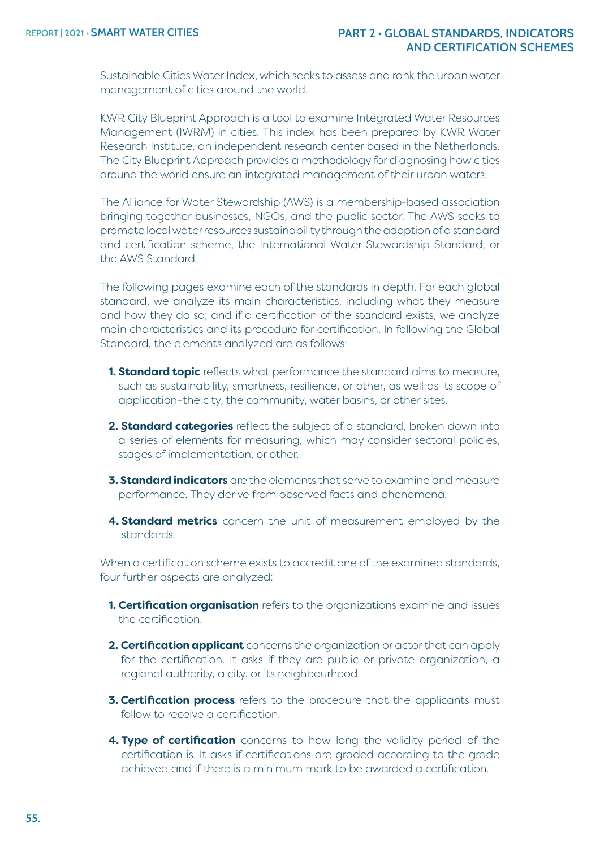Sustainable Cities Water Index, which seeks to assess and rank the urban water management of cities around the world.

KWR City Blueprint Approach is a tool to examine Integrated Water Resources Management (IWRM) in cities. This index has been prepared by KWR Water Research Institute, an independent research center based in the Netherlands. The City Blueprint Approach provides a methodology for diagnosing how cities around the world ensure an integrated management of their urban waters.

The Alliance for Water Stewardship (AWS) is a membership-based association bringing together businesses, NGOs, and the public sector. The AWS seeks to promote local water resources sustainability through the adoption of a standard and certification scheme, the International Water Stewardship Standard, or the AWS Standard.

The following pages examine each of the standards in depth. For each global standard, we analyze its main characteristics, including what they measure and how they do so; and if a certification of the standard exists, we analyze main characteristics and its procedure for certification. In following the Global Standard, the elements analyzed are as follows:

- **1. Standard topic** reflects what performance the standard aims to measure, such as sustainability, smartness, resilience, or other, as well as its scope of application–the city, the community, water basins, or other sites.
- **2. Standard categories** reflect the subject of a standard, broken down into a series of elements for measuring, which may consider sectoral policies, stages of implementation, or other.
- **3. Standard indicators** are the elements that serve to examine and measure performance. They derive from observed facts and phenomena.
- **4. Standard metrics** concern the unit of measurement employed by the standards.

When a certification scheme exists to accredit one of the examined standards, four further aspects are analyzed:

- **1. Certification organisation** refers to the organizations examine and issues the certification.
- **2. Certification applicant** concerns the organization or actor that can apply for the certification. It asks if they are public or private organization, a regional authority, a city, or its neighbourhood.
- **3. Certification process** refers to the procedure that the applicants must follow to receive a certification.
- **4. Type of certification** concerns to how long the validity period of the certification is. It asks if certifications are graded according to the grade achieved and if there is a minimum mark to be awarded a certification.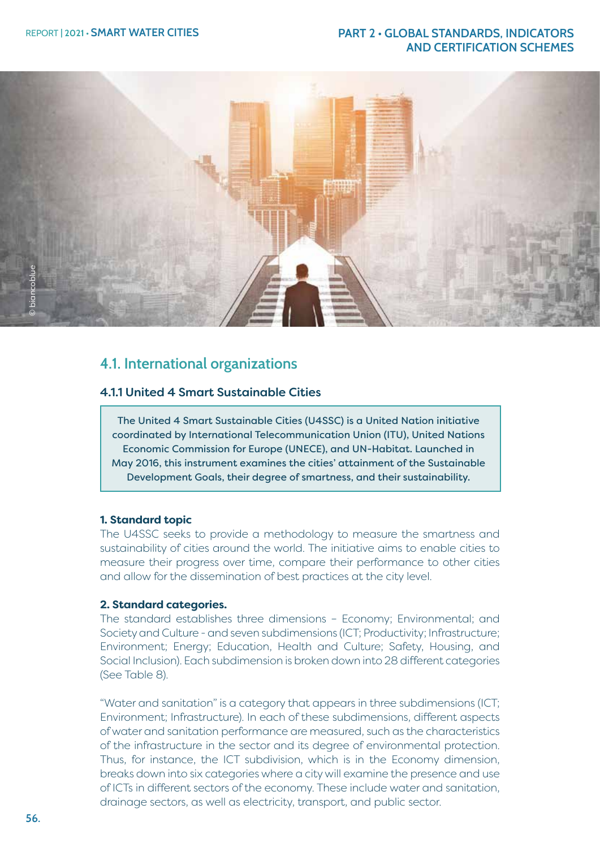

# **4.1. International organizations**

# 4.1.1 United 4 Smart Sustainable Cities

The United 4 Smart Sustainable Cities (U4SSC) is a United Nation initiative coordinated by International Telecommunication Union (ITU), United Nations Economic Commission for Europe (UNECE), and UN-Habitat. Launched in May 2016, this instrument examines the cities' attainment of the Sustainable Development Goals, their degree of smartness, and their sustainability.

#### **1. Standard topic**

The U4SSC seeks to provide a methodology to measure the smartness and sustainability of cities around the world. The initiative aims to enable cities to measure their progress over time, compare their performance to other cities and allow for the dissemination of best practices at the city level.

#### **2. Standard categories.**

The standard establishes three dimensions – Economy; Environmental; and Society and Culture - and seven subdimensions (ICT; Productivity; Infrastructure; Environment; Energy; Education, Health and Culture; Safety, Housing, and Social Inclusion). Each subdimension is broken down into 28 different categories (See Table 8).

"Water and sanitation" is a category that appears in three subdimensions (ICT; Environment; Infrastructure). In each of these subdimensions, different aspects of water and sanitation performance are measured, such as the characteristics of the infrastructure in the sector and its degree of environmental protection. Thus, for instance, the ICT subdivision, which is in the Economy dimension, breaks down into six categories where a city will examine the presence and use of ICTs in different sectors of the economy. These include water and sanitation, drainage sectors, as well as electricity, transport, and public sector.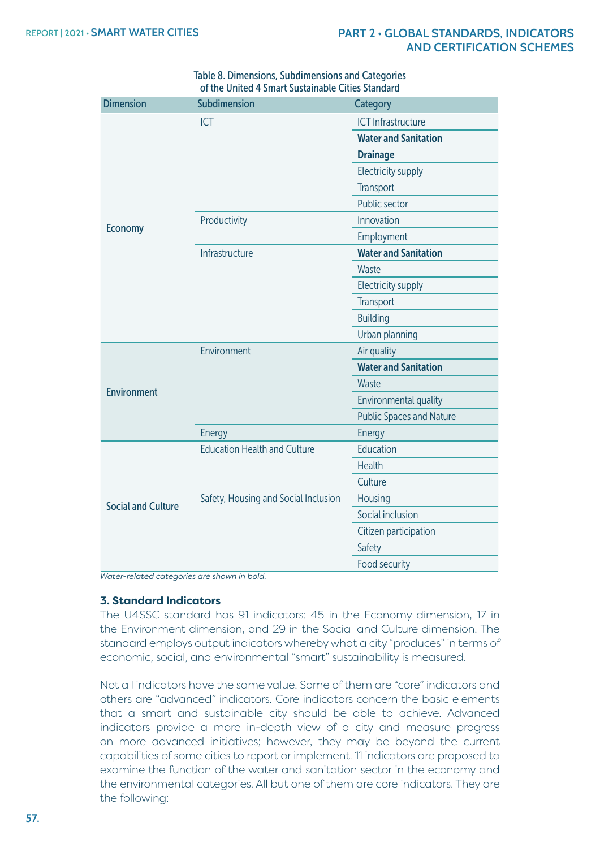| <b>Dimension</b>          | Subdimension                         | Category                        |
|---------------------------|--------------------------------------|---------------------------------|
|                           | <b>ICT</b>                           | <b>ICT</b> Infrastructure       |
|                           |                                      | <b>Water and Sanitation</b>     |
|                           |                                      | <b>Drainage</b>                 |
|                           |                                      | Electricity supply              |
|                           |                                      | Transport                       |
|                           |                                      | Public sector                   |
|                           | Productivity                         | Innovation                      |
| <b>Economy</b>            |                                      | Employment                      |
|                           | Infrastructure                       | <b>Water and Sanitation</b>     |
|                           |                                      | Waste                           |
|                           |                                      | <b>Electricity supply</b>       |
|                           |                                      | Transport                       |
|                           |                                      | <b>Building</b>                 |
|                           |                                      | Urban planning                  |
|                           | Environment                          | Air quality                     |
|                           |                                      | <b>Water and Sanitation</b>     |
| <b>Environment</b>        |                                      | Waste                           |
|                           |                                      | Environmental quality           |
|                           |                                      | <b>Public Spaces and Nature</b> |
|                           | Energy                               | Energy                          |
|                           | <b>Education Health and Culture</b>  | Education                       |
|                           |                                      | <b>Health</b>                   |
|                           |                                      | Culture                         |
| <b>Social and Culture</b> | Safety, Housing and Social Inclusion | Housing                         |
|                           |                                      | Social inclusion                |
|                           |                                      | Citizen participation           |
|                           |                                      | Safety                          |
|                           |                                      | Food security                   |

Table 8. Dimensions, Subdimensions and Categories of the United 4 Smart Sustainable Cities Standard

*Water-related categories are shown in bold.*

#### **3. Standard Indicators**

The U4SSC standard has 91 indicators: 45 in the Economy dimension, 17 in the Environment dimension, and 29 in the Social and Culture dimension. The standard employs output indicators whereby what a city "produces" in terms of economic, social, and environmental "smart" sustainability is measured.

Not all indicators have the same value. Some of them are "core" indicators and others are "advanced" indicators. Core indicators concern the basic elements that a smart and sustainable city should be able to achieve. Advanced indicators provide a more in-depth view of a city and measure progress on more advanced initiatives; however, they may be beyond the current capabilities of some cities to report or implement. 11 indicators are proposed to examine the function of the water and sanitation sector in the economy and the environmental categories. All but one of them are core indicators. They are the following: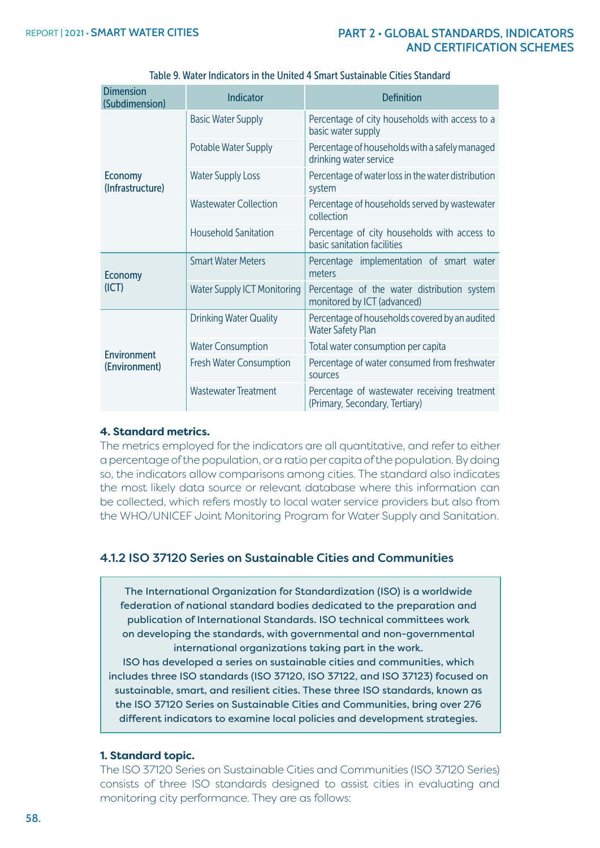| <b>Dimension</b><br>(Subdimension) | <b>Indicator</b>                   | <b>Definition</b>                                                              |
|------------------------------------|------------------------------------|--------------------------------------------------------------------------------|
|                                    | <b>Basic Water Supply</b>          | Percentage of city households with access to a<br>basic water supply           |
|                                    | Potable Water Supply               | Percentage of households with a safely managed<br>drinking water service       |
| <b>Economy</b><br>(Infrastructure) | <b>Water Supply Loss</b>           | Percentage of water loss in the water distribution<br>system                   |
|                                    | <b>Wastewater Collection</b>       | Percentage of households served by wastewater<br>collection                    |
|                                    | <b>Household Sanitation</b>        | Percentage of city households with access to<br>basic sanitation facilities    |
| <b>Economy</b><br>(ICT)            | <b>Smart Water Meters</b>          | Percentage implementation of smart water<br>meters                             |
|                                    | <b>Water Supply ICT Monitoring</b> | Percentage of the water distribution system<br>monitored by ICT (advanced)     |
|                                    | <b>Drinking Water Quality</b>      | Percentage of households covered by an audited<br><b>Water Safety Plan</b>     |
| Environment                        | <b>Water Consumption</b>           | Total water consumption per capita                                             |
| (Environment)                      | Fresh Water Consumption            | Percentage of water consumed from freshwater<br>sources                        |
|                                    | <b>Wastewater Treatment</b>        | Percentage of wastewater receiving treatment<br>(Primary, Secondary, Tertiary) |

#### Table 9. Water Indicators in the United 4 Smart Sustainable Cities Standard

#### **4. Standard metrics.**

The metrics employed for the indicators are all quantitative, and refer to either a percentage of the population, or a ratio per capita of the population. By doing so, the indicators allow comparisons among cities. The standard also indicates the most likely data source or relevant database where this information can be collected, which refers mostly to local water service providers but also from the WHO/UNICEF Joint Monitoring Program for Water Supply and Sanitation.

# 4.1.2 ISO 37120 Series on Sustainable Cities and Communities

The International Organization for Standardization (ISO) is a worldwide federation of national standard bodies dedicated to the preparation and publication of International Standards. ISO technical committees work on developing the standards, with governmental and non-governmental international organizations taking part in the work.

ISO has developed a series on sustainable cities and communities, which includes three ISO standards (ISO 37120, ISO 37122, and ISO 37123) focused on sustainable, smart, and resilient cities. These three ISO standards, known as the ISO 37120 Series on Sustainable Cities and Communities, bring over 276 different indicators to examine local policies and development strategies.

#### **1. Standard topic.**

The ISO 37120 Series on Sustainable Cities and Communities (ISO 37120 Series) consists of three ISO standards designed to assist cities in evaluating and monitoring city performance. They are as follows: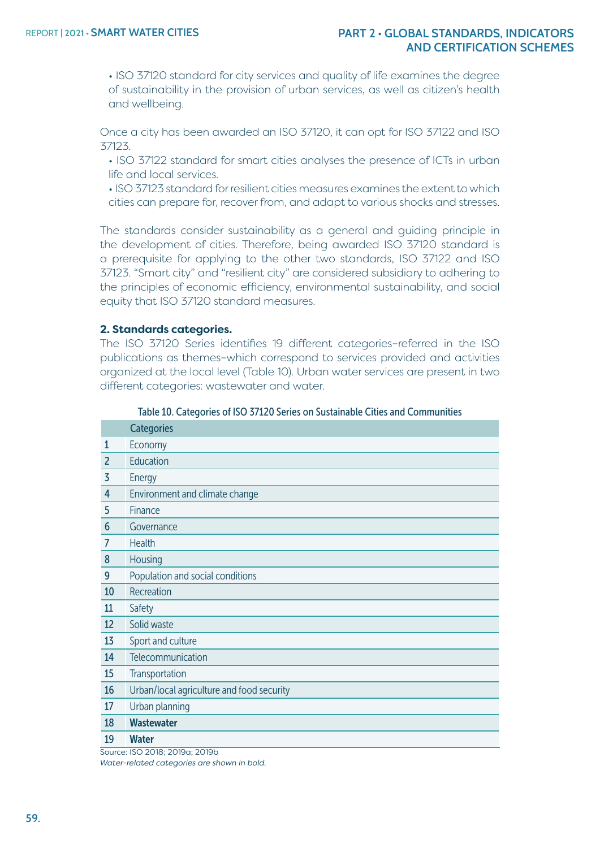• ISO 37120 standard for city services and quality of life examines the degree of sustainability in the provision of urban services, as well as citizen's health and wellbeing.

Once a city has been awarded an ISO 37120, it can opt for ISO 37122 and ISO 37123.

• ISO 37122 standard for smart cities analyses the presence of ICTs in urban life and local services.

• ISO 37123 standard for resilient cities measures examines the extent to which cities can prepare for, recover from, and adapt to various shocks and stresses.

The standards consider sustainability as a general and guiding principle in the development of cities. Therefore, being awarded ISO 37120 standard is a prerequisite for applying to the other two standards, ISO 37122 and ISO 37123. "Smart city" and "resilient city" are considered subsidiary to adhering to the principles of economic efficiency, environmental sustainability, and social equity that ISO 37120 standard measures.

#### **2. Standards categories.**

The ISO 37120 Series identifies 19 different categories–referred in the ISO publications as themes–which correspond to services provided and activities organized at the local level (Table 10). Urban water services are present in two different categories: wastewater and water.

|                | <b>Categories</b>                         |
|----------------|-------------------------------------------|
| $\mathbf{1}$   | Economy                                   |
| $\overline{2}$ | Education                                 |
| 3              | Energy                                    |
| 4              | Environment and climate change            |
| 5              | Finance                                   |
| 6              | Governance                                |
| 7              | Health                                    |
| 8              | Housing                                   |
| 9              | Population and social conditions          |
| 10             | Recreation                                |
| 11             | Safety                                    |
| 12             | Solid waste                               |
| 13             | Sport and culture                         |
| 14             | Telecommunication                         |
| 15             | Transportation                            |
| 16             | Urban/local agriculture and food security |
| 17             | Urban planning                            |
| 18             | <b>Wastewater</b>                         |
| 19             | <b>Water</b>                              |

Table 10. Categories of ISO 37120 Series on Sustainable Cities and Communities

Source: ISO 2018; 2019a; 2019b *Water-related categories are shown in bold.*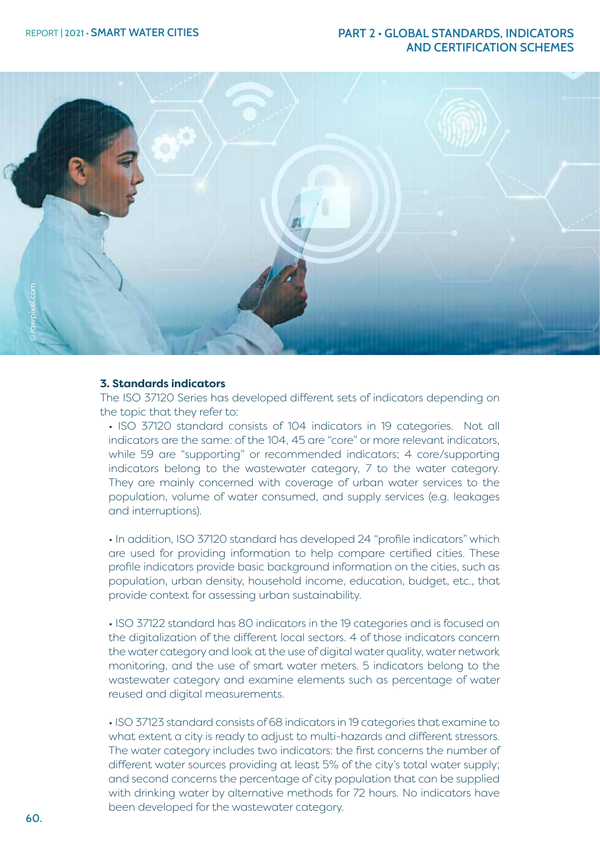

#### **3. Standards indicators**

The ISO 37120 Series has developed different sets of indicators depending on the topic that they refer to:

• ISO 37120 standard consists of 104 indicators in 19 categories. Not all indicators are the same: of the 104, 45 are "core" or more relevant indicators, while 59 are "supporting" or recommended indicators; 4 core/supporting indicators belong to the wastewater category, 7 to the water category. They are mainly concerned with coverage of urban water services to the population, volume of water consumed, and supply services (e.g. leakages and interruptions).

• In addition, ISO 37120 standard has developed 24 "profile indicators" which are used for providing information to help compare certified cities. These profile indicators provide basic background information on the cities, such as population, urban density, household income, education, budget, etc., that provide context for assessing urban sustainability.

• ISO 37122 standard has 80 indicators in the 19 categories and is focused on the digitalization of the different local sectors. 4 of those indicators concern the water category and look at the use of digital water quality, water network monitoring, and the use of smart water meters. 5 indicators belong to the wastewater category and examine elements such as percentage of water reused and digital measurements.

• ISO 37123 standard consists of 68 indicators in 19 categories that examine to what extent a city is ready to adjust to multi-hazards and different stressors. The water category includes two indicators: the first concerns the number of different water sources providing at least 5% of the city's total water supply; and second concerns the percentage of city population that can be supplied with drinking water by alternative methods for 72 hours. No indicators have been developed for the wastewater category.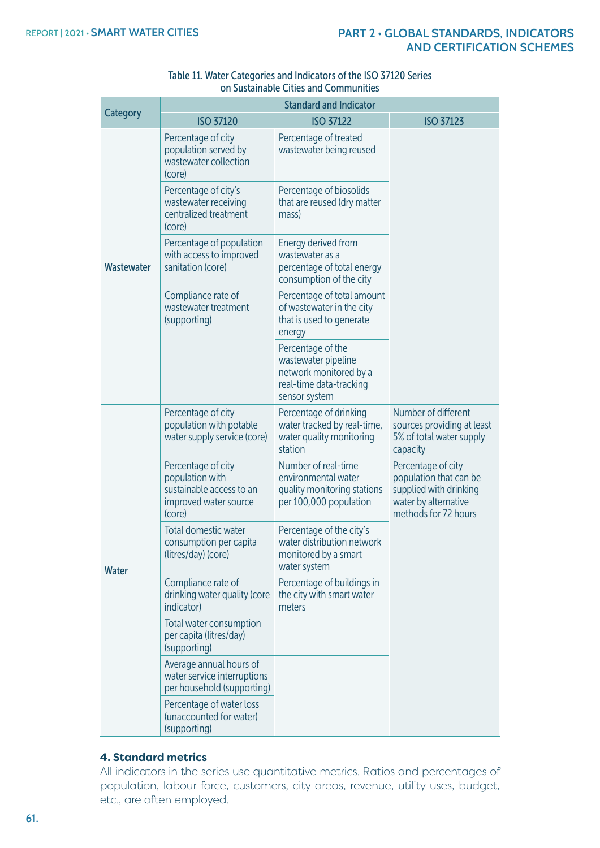|                 | <b>Standard and Indicator</b>                                                                        |                                                                                                                |                                                                                                                        |
|-----------------|------------------------------------------------------------------------------------------------------|----------------------------------------------------------------------------------------------------------------|------------------------------------------------------------------------------------------------------------------------|
| <b>Category</b> | <b>ISO 37120</b>                                                                                     | <b>ISO 37122</b><br><b>ISO 37123</b>                                                                           |                                                                                                                        |
|                 | Percentage of city<br>population served by<br>wastewater collection<br>(core)                        | Percentage of treated<br>wastewater being reused                                                               |                                                                                                                        |
| Wastewater      | Percentage of city's<br>wastewater receiving<br>centralized treatment<br>(core)                      | Percentage of biosolids<br>that are reused (dry matter<br>mass)                                                |                                                                                                                        |
|                 | Percentage of population<br>with access to improved<br>sanitation (core)                             | Energy derived from<br>wastewater as a<br>percentage of total energy<br>consumption of the city                |                                                                                                                        |
|                 | Compliance rate of<br>wastewater treatment<br>(supporting)                                           | Percentage of total amount<br>of wastewater in the city<br>that is used to generate<br>energy                  |                                                                                                                        |
|                 |                                                                                                      | Percentage of the<br>wastewater pipeline<br>network monitored by a<br>real-time data-tracking<br>sensor system |                                                                                                                        |
|                 | Percentage of city<br>population with potable<br>water supply service (core)                         | Percentage of drinking<br>water tracked by real-time,<br>water quality monitoring<br>station                   | Number of different<br>sources providing at least<br>5% of total water supply<br>capacity                              |
| <b>Water</b>    | Percentage of city<br>population with<br>sustainable access to an<br>improved water source<br>(core) | Number of real-time<br>environmental water<br>quality monitoring stations<br>per 100,000 population            | Percentage of city<br>population that can be<br>supplied with drinking<br>water by alternative<br>methods for 72 hours |
|                 | Total domestic water<br>consumption per capita<br>(litres/day) (core)                                | Percentage of the city's<br>water distribution network<br>monitored by a smart<br>water system                 |                                                                                                                        |
|                 | Compliance rate of<br>drinking water quality (core<br>indicator)                                     | Percentage of buildings in<br>the city with smart water<br>meters                                              |                                                                                                                        |
|                 | Total water consumption<br>per capita (litres/day)<br>(supporting)                                   |                                                                                                                |                                                                                                                        |
|                 | Average annual hours of<br>water service interruptions<br>per household (supporting)                 |                                                                                                                |                                                                                                                        |
|                 | Percentage of water loss<br>(unaccounted for water)<br>(supporting)                                  |                                                                                                                |                                                                                                                        |

#### Table 11. Water Categories and Indicators of the ISO 37120 Series on Sustainable Cities and Communities

# **4. Standard metrics**

All indicators in the series use quantitative metrics. Ratios and percentages of population, labour force, customers, city areas, revenue, utility uses, budget, etc., are often employed.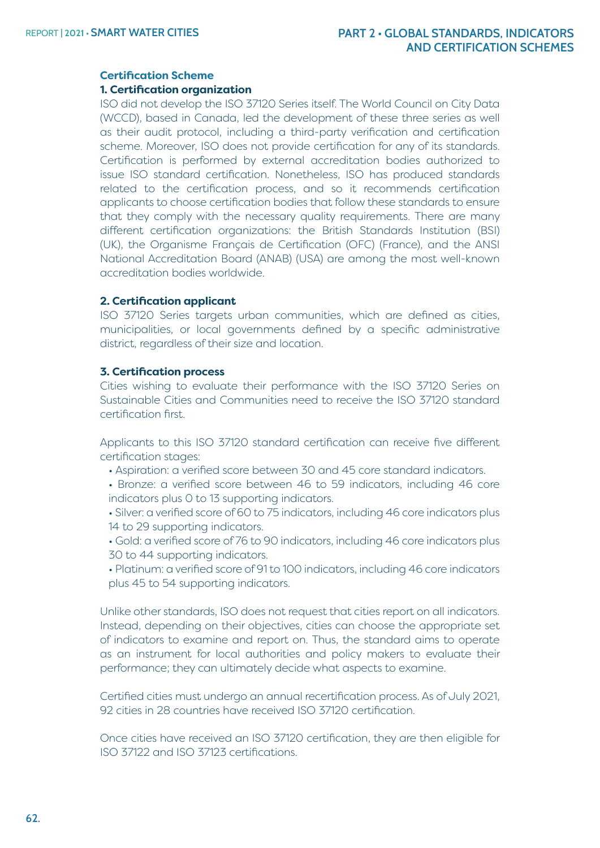#### **Certification Scheme**

#### **1. Certification organization**

ISO did not develop the ISO 37120 Series itself. The World Council on City Data (WCCD), based in Canada, led the development of these three series as well as their audit protocol, including a third-party verification and certification scheme. Moreover, ISO does not provide certification for any of its standards. Certification is performed by external accreditation bodies authorized to issue ISO standard certification. Nonetheless, ISO has produced standards related to the certification process, and so it recommends certification applicants to choose certification bodies that follow these standards to ensure that they comply with the necessary quality requirements. There are many different certification organizations: the British Standards Institution (BSI) (UK), the Organisme Français de Certification (OFC) (France), and the ANSI National Accreditation Board (ANAB) (USA) are among the most well-known accreditation bodies worldwide.

#### **2. Certification applicant**

ISO 37120 Series targets urban communities, which are defined as cities, municipalities, or local governments defined by a specific administrative district, regardless of their size and location.

#### **3. Certification process**

Cities wishing to evaluate their performance with the ISO 37120 Series on Sustainable Cities and Communities need to receive the ISO 37120 standard certification first.

Applicants to this ISO 37120 standard certification can receive five different certification stages:

• Aspiration: a verified score between 30 and 45 core standard indicators.

• Bronze: a verified score between 46 to 59 indicators, including 46 core indicators plus 0 to 13 supporting indicators.

• Silver: a verified score of 60 to 75 indicators, including 46 core indicators plus 14 to 29 supporting indicators.

- Gold: a verified score of 76 to 90 indicators, including 46 core indicators plus 30 to 44 supporting indicators.
- Platinum: a verified score of 91 to 100 indicators, including 46 core indicators plus 45 to 54 supporting indicators.

Unlike other standards, ISO does not request that cities report on all indicators. Instead, depending on their objectives, cities can choose the appropriate set of indicators to examine and report on. Thus, the standard aims to operate as an instrument for local authorities and policy makers to evaluate their performance; they can ultimately decide what aspects to examine.

Certified cities must undergo an annual recertification process. As of July 2021, 92 cities in 28 countries have received ISO 37120 certification.

Once cities have received an ISO 37120 certification, they are then eligible for ISO 37122 and ISO 37123 certifications.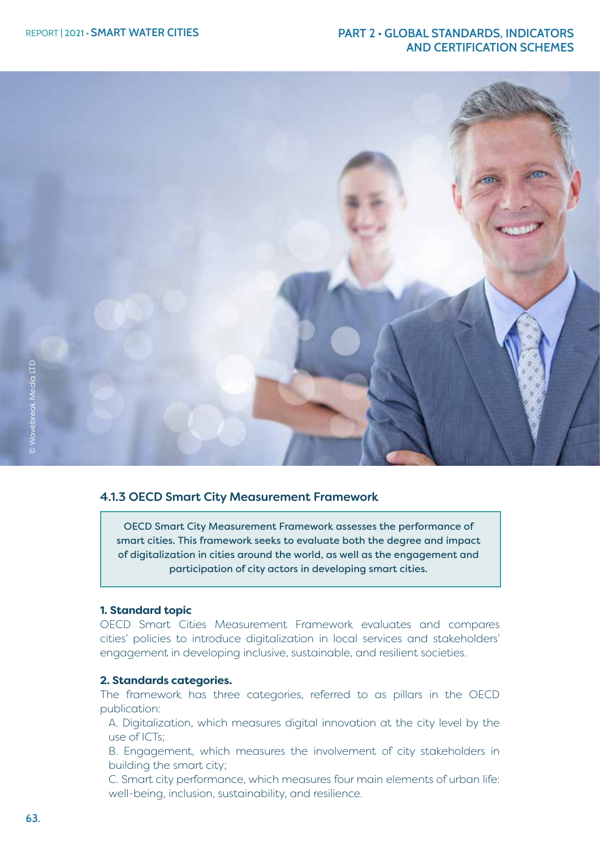

#### 4.1.3 OECD Smart City Measurement Framework

OECD Smart City Measurement Framework assesses the performance of smart cities. This framework seeks to evaluate both the degree and impact of digitalization in cities around the world, as well as the engagement and participation of city actors in developing smart cities.

#### **1. Standard topic**

OECD Smart Cities Measurement Framework evaluates and compares cities' policies to introduce digitalization in local services and stakeholders' engagement in developing inclusive, sustainable, and resilient societies.

#### **2. Standards categories.**

The framework has three categories, referred to as pillars in the OECD publication:

A. Digitalization, which measures digital innovation at the city level by the use of ICTs;

B. Engagement, which measures the involvement of city stakeholders in building the smart city;

C. Smart city performance, which measures four main elements of urban life: well-being, inclusion, sustainability, and resilience.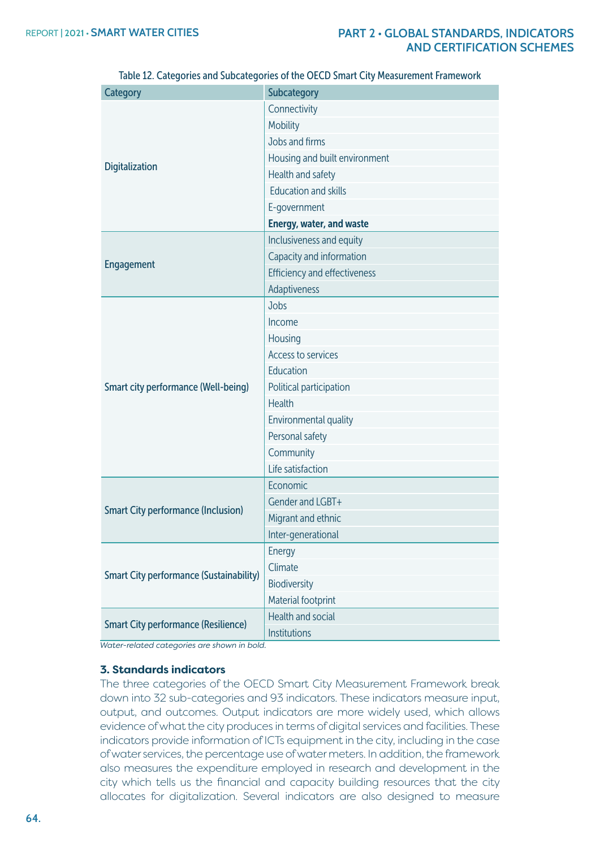| <b>Category</b>                                | Subcategory                         |
|------------------------------------------------|-------------------------------------|
|                                                | Connectivity                        |
|                                                | Mobility                            |
|                                                | Jobs and firms                      |
|                                                | Housing and built environment       |
| <b>Digitalization</b>                          | Health and safety                   |
|                                                | <b>Education and skills</b>         |
|                                                | E-government                        |
|                                                | <b>Energy, water, and waste</b>     |
|                                                | Inclusiveness and equity            |
|                                                | Capacity and information            |
| <b>Engagement</b>                              | <b>Efficiency and effectiveness</b> |
|                                                | Adaptiveness                        |
|                                                | Jobs                                |
|                                                | Income                              |
|                                                | Housing                             |
|                                                | Access to services                  |
|                                                | Education                           |
| <b>Smart city performance (Well-being)</b>     | Political participation             |
|                                                | <b>Health</b>                       |
|                                                | Environmental quality               |
|                                                | Personal safety                     |
|                                                | Community                           |
|                                                | Life satisfaction                   |
|                                                | Economic                            |
| <b>Smart City performance (Inclusion)</b>      | Gender and LGBT+                    |
|                                                | Migrant and ethnic                  |
|                                                | Inter-generational                  |
|                                                | Energy                              |
| <b>Smart City performance (Sustainability)</b> | Climate                             |
|                                                | Biodiversity                        |
|                                                | Material footprint                  |
| <b>Smart City performance (Resilience)</b>     | Health and social                   |
|                                                | Institutions                        |

Table 12. Categories and Subcategories of the OECD Smart City Measurement Framework

*Water-related categories are shown in bold.*

#### **3. Standards indicators**

The three categories of the OECD Smart City Measurement Framework break down into 32 sub-categories and 93 indicators. These indicators measure input, output, and outcomes. Output indicators are more widely used, which allows evidence of what the city produces in terms of digital services and facilities. These indicators provide information of ICTs equipment in the city, including in the case of water services, the percentage use of water meters. In addition, the framework also measures the expenditure employed in research and development in the city which tells us the financial and capacity building resources that the city allocates for digitalization. Several indicators are also designed to measure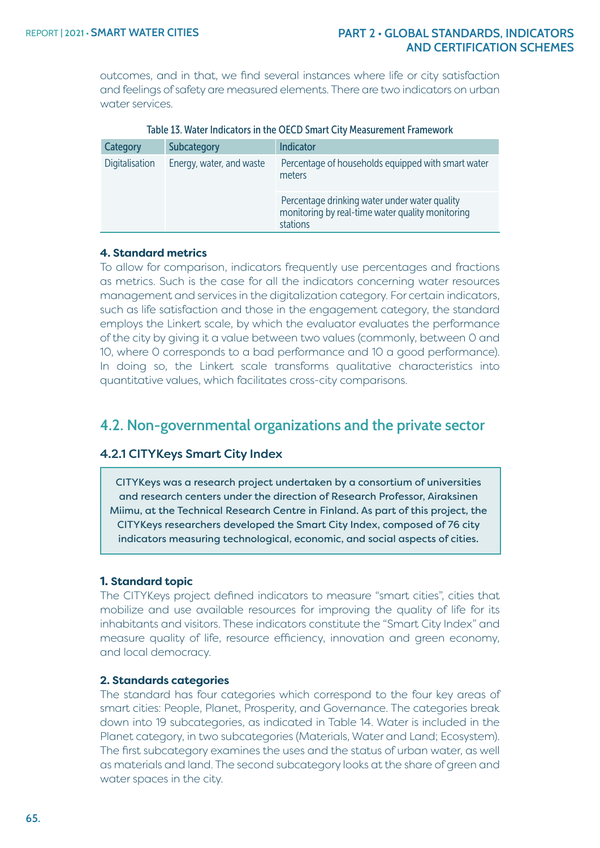outcomes, and in that, we find several instances where life or city satisfaction and feelings of safety are measured elements. There are two indicators on urban water services.

| Category       | Subcategory              | <b>Indicator</b>                                                                                              |
|----------------|--------------------------|---------------------------------------------------------------------------------------------------------------|
| Digitalisation | Energy, water, and waste | Percentage of households equipped with smart water<br>meters                                                  |
|                |                          | Percentage drinking water under water quality<br>monitoring by real-time water quality monitoring<br>stations |

#### Table 13. Water Indicators in the OECD Smart City Measurement Framework

#### **4. Standard metrics**

To allow for comparison, indicators frequently use percentages and fractions as metrics. Such is the case for all the indicators concerning water resources management and services in the digitalization category. For certain indicators, such as life satisfaction and those in the engagement category, the standard employs the Linkert scale, by which the evaluator evaluates the performance of the city by giving it a value between two values (commonly, between 0 and 10, where 0 corresponds to a bad performance and 10 a good performance). In doing so, the Linkert scale transforms qualitative characteristics into quantitative values, which facilitates cross-city comparisons.

# **4.2. Non-governmental organizations and the private sector**

#### 4.2.1 CITYKeys Smart City Index

CITYKeys was a research project undertaken by a consortium of universities and research centers under the direction of Research Professor, Airaksinen Miimu, at the Technical Research Centre in Finland. As part of this project, the CITYKeys researchers developed the Smart City Index, composed of 76 city indicators measuring technological, economic, and social aspects of cities.

#### **1. Standard topic**

The CITYKeys project defined indicators to measure "smart cities", cities that mobilize and use available resources for improving the quality of life for its inhabitants and visitors. These indicators constitute the "Smart City Index" and measure quality of life, resource efficiency, innovation and green economy, and local democracy.

#### **2. Standards categories**

The standard has four categories which correspond to the four key areas of smart cities: People, Planet, Prosperity, and Governance. The categories break down into 19 subcategories, as indicated in Table 14. Water is included in the Planet category, in two subcategories (Materials, Water and Land; Ecosystem). The first subcategory examines the uses and the status of urban water, as well as materials and land. The second subcategory looks at the share of green and water spaces in the city.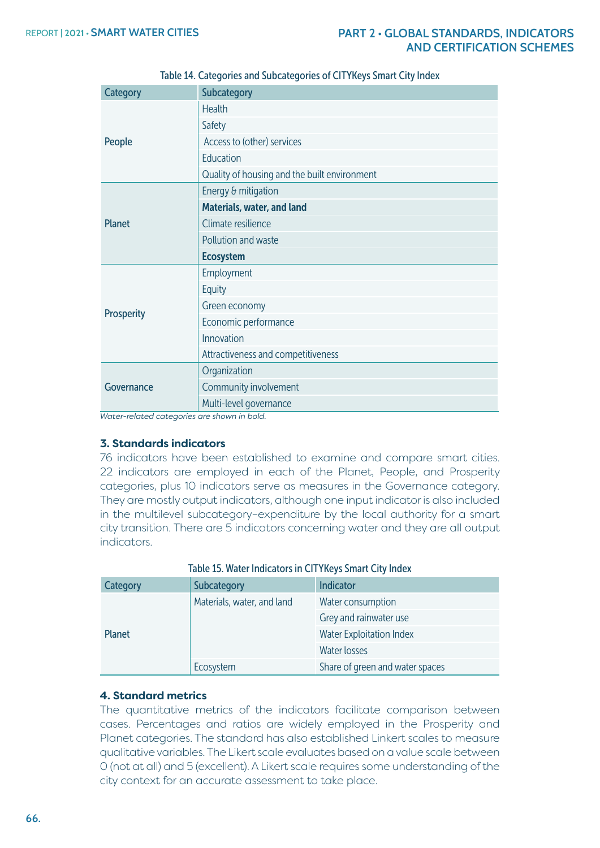| <b>Category</b>   | Subcategory                                  |  |  |
|-------------------|----------------------------------------------|--|--|
|                   | <b>Health</b>                                |  |  |
|                   | Safety                                       |  |  |
| People            | Access to (other) services                   |  |  |
|                   | Education                                    |  |  |
|                   | Quality of housing and the built environment |  |  |
|                   | Energy & mitigation                          |  |  |
|                   | <b>Materials, water, and land</b>            |  |  |
| <b>Planet</b>     | Climate resilience                           |  |  |
|                   | Pollution and waste                          |  |  |
|                   |                                              |  |  |
|                   | <b>Ecosystem</b>                             |  |  |
|                   | Employment                                   |  |  |
|                   | Equity                                       |  |  |
|                   | Green economy                                |  |  |
| <b>Prosperity</b> | Economic performance                         |  |  |
|                   | Innovation                                   |  |  |
|                   | Attractiveness and competitiveness           |  |  |
|                   | Organization                                 |  |  |
| Governance        | Community involvement                        |  |  |

Table 14. Categories and Subcategories of CITYKeys Smart City Index

*Water-related categories are shown in bold.*

#### **3. Standards indicators**

76 indicators have been established to examine and compare smart cities. 22 indicators are employed in each of the Planet, People, and Prosperity categories, plus 10 indicators serve as measures in the Governance category. They are mostly output indicators, although one input indicator is also included in the multilevel subcategory–expenditure by the local authority for a smart city transition. There are 5 indicators concerning water and they are all output indicators.

| Category      | Subcategory                | <b>Indicator</b>                |
|---------------|----------------------------|---------------------------------|
|               | Materials, water, and land | Water consumption               |
|               |                            | Grey and rainwater use          |
| <b>Planet</b> |                            | <b>Water Exploitation Index</b> |
|               |                            | Water losses                    |
|               | Ecosystem                  | Share of green and water spaces |

Table 15. Water Indicators in CITYKeys Smart City Index

#### **4. Standard metrics**

The quantitative metrics of the indicators facilitate comparison between cases. Percentages and ratios are widely employed in the Prosperity and Planet categories. The standard has also established Linkert scales to measure qualitative variables. The Likert scale evaluates based on a value scale between 0 (not at all) and 5 (excellent). A Likert scale requires some understanding of the city context for an accurate assessment to take place.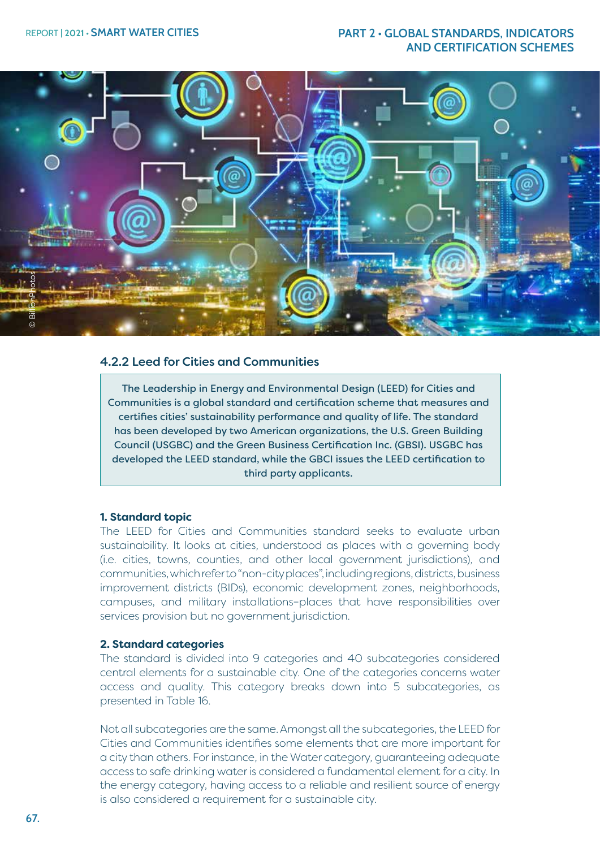

#### 4.2.2 Leed for Cities and Communities

The Leadership in Energy and Environmental Design (LEED) for Cities and Communities is a global standard and certification scheme that measures and certifies cities' sustainability performance and quality of life. The standard has been developed by two American organizations, the U.S. Green Building Council (USGBC) and the Green Business Certification Inc. (GBSI). USGBC has developed the LEED standard, while the GBCI issues the LEED certification to third party applicants.

#### **1. Standard topic**

The LEED for Cities and Communities standard seeks to evaluate urban sustainability. It looks at cities, understood as places with a governing body (i.e. cities, towns, counties, and other local government jurisdictions), and communities, which refer to "non-city places", including regions, districts, business improvement districts (BIDs), economic development zones, neighborhoods, campuses, and military installations–places that have responsibilities over services provision but no government jurisdiction.

#### **2. Standard categories**

The standard is divided into 9 categories and 40 subcategories considered central elements for a sustainable city. One of the categories concerns water access and quality. This category breaks down into 5 subcategories, as presented in Table 16.

Not all subcategories are the same. Amongst all the subcategories, the LEED for Cities and Communities identifies some elements that are more important for a city than others. For instance, in the Water category, guaranteeing adequate access to safe drinking water is considered a fundamental element for a city. In the energy category, having access to a reliable and resilient source of energy is also considered a requirement for a sustainable city.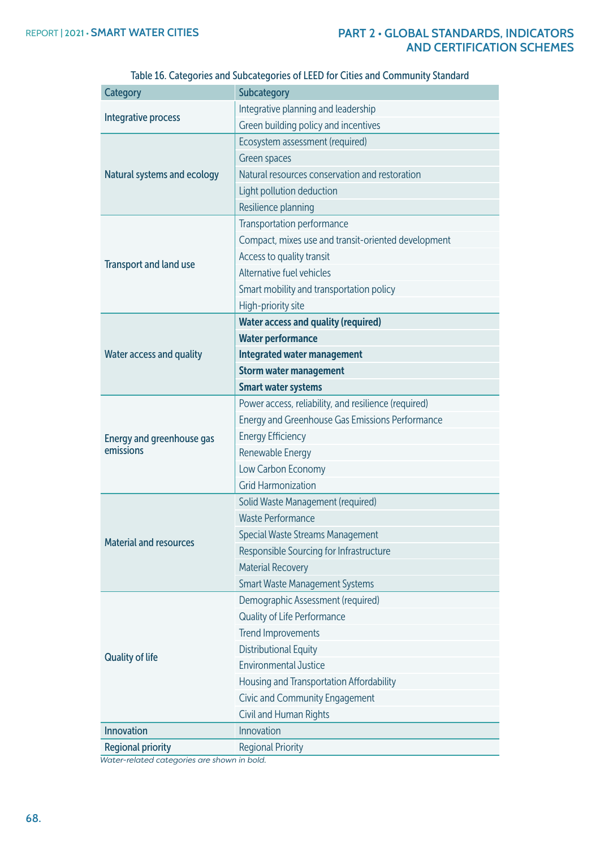| <b>Category</b>                  | Subcategory                                          |
|----------------------------------|------------------------------------------------------|
|                                  | Integrative planning and leadership                  |
| Integrative process              | Green building policy and incentives                 |
|                                  | Ecosystem assessment (required)                      |
|                                  | Green spaces                                         |
| Natural systems and ecology      | Natural resources conservation and restoration       |
|                                  | Light pollution deduction                            |
|                                  | Resilience planning                                  |
|                                  | Transportation performance                           |
|                                  | Compact, mixes use and transit-oriented development  |
|                                  | Access to quality transit                            |
| <b>Transport and land use</b>    | Alternative fuel vehicles                            |
|                                  | Smart mobility and transportation policy             |
|                                  | High-priority site                                   |
|                                  | <b>Water access and quality (required)</b>           |
|                                  | <b>Water performance</b>                             |
| <b>Water access and quality</b>  | <b>Integrated water management</b>                   |
|                                  | <b>Storm water management</b>                        |
|                                  | <b>Smart water systems</b>                           |
|                                  | Power access, reliability, and resilience (required) |
|                                  | Energy and Greenhouse Gas Emissions Performance      |
| <b>Energy and greenhouse gas</b> | <b>Energy Efficiency</b>                             |
| emissions                        | Renewable Energy                                     |
|                                  | Low Carbon Economy                                   |
|                                  | <b>Grid Harmonization</b>                            |
|                                  | Solid Waste Management (required)                    |
|                                  | <b>Waste Performance</b>                             |
|                                  | Special Waste Streams Management                     |
| <b>Material and resources</b>    | Responsible Sourcing for Infrastructure              |
|                                  | <b>Material Recovery</b>                             |
|                                  | <b>Smart Waste Management Systems</b>                |
|                                  | Demographic Assessment (required)                    |
|                                  | Quality of Life Performance                          |
|                                  | <b>Trend Improvements</b>                            |
|                                  | <b>Distributional Equity</b>                         |
| <b>Quality of life</b>           | <b>Environmental Justice</b>                         |
|                                  | Housing and Transportation Affordability             |
|                                  | Civic and Community Engagement                       |
|                                  | Civil and Human Rights                               |
| <b>Innovation</b>                | Innovation                                           |
| <b>Regional priority</b>         | <b>Regional Priority</b>                             |

Table 16. Categories and Subcategories of LEED for Cities and Community Standard

*Water-related categories are shown in bold.*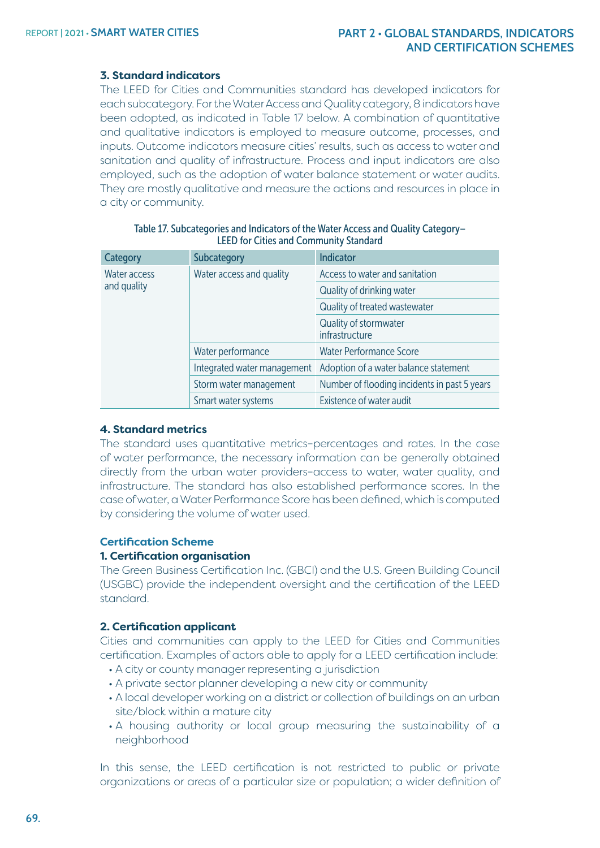#### **3. Standard indicators**

The LEED for Cities and Communities standard has developed indicators for each subcategory. For the Water Access and Quality category, 8 indicators have been adopted, as indicated in Table 17 below. A combination of quantitative and qualitative indicators is employed to measure outcome, processes, and inputs. Outcome indicators measure cities' results, such as access to water and sanitation and quality of infrastructure. Process and input indicators are also employed, such as the adoption of water balance statement or water audits. They are mostly qualitative and measure the actions and resources in place in a city or community.

| Category            | Subcategory                 | Indicator                                    |
|---------------------|-----------------------------|----------------------------------------------|
| Water access        | Water access and quality    | Access to water and sanitation               |
| and quality         |                             | Quality of drinking water                    |
|                     |                             | Quality of treated wastewater                |
|                     | Water performance           | Quality of stormwater<br>infrastructure      |
|                     |                             | <b>Water Performance Score</b>               |
|                     | Integrated water management | Adoption of a water balance statement        |
|                     | Storm water management      | Number of flooding incidents in past 5 years |
| Smart water systems |                             | Existence of water audit                     |

| Table 17. Subcategories and Indicators of the Water Access and Quality Category- |  |
|----------------------------------------------------------------------------------|--|
| <b>LEED for Cities and Community Standard</b>                                    |  |

#### **4. Standard metrics**

The standard uses quantitative metrics–percentages and rates. In the case of water performance, the necessary information can be generally obtained directly from the urban water providers–access to water, water quality, and infrastructure. The standard has also established performance scores. In the case of water, a Water Performance Score has been defined, which is computed by considering the volume of water used.

#### **Certification Scheme**

#### **1. Certification organisation**

The Green Business Certification Inc. (GBCI) and the U.S. Green Building Council (USGBC) provide the independent oversight and the certification of the LEED standard.

#### **2. Certification applicant**

Cities and communities can apply to the LEED for Cities and Communities certification. Examples of actors able to apply for a LEED certification include:

- A city or county manager representing a jurisdiction
- A private sector planner developing a new city or community
- A local developer working on a district or collection of buildings on an urban site/block within a mature city
- A housing authority or local group measuring the sustainability of a neighborhood

In this sense, the LEED certification is not restricted to public or private organizations or areas of a particular size or population; a wider definition of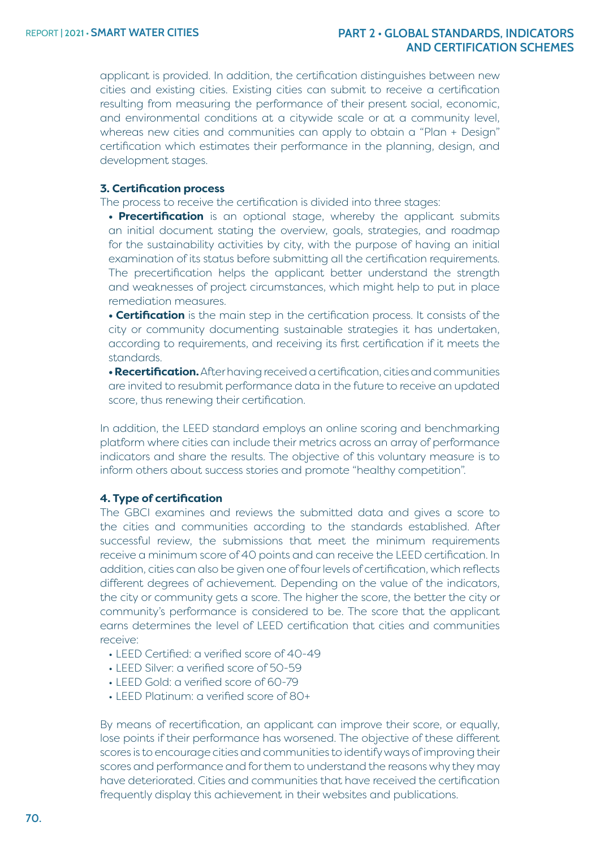applicant is provided. In addition, the certification distinguishes between new cities and existing cities. Existing cities can submit to receive a certification resulting from measuring the performance of their present social, economic, and environmental conditions at a citywide scale or at a community level, whereas new cities and communities can apply to obtain a "Plan + Design" certification which estimates their performance in the planning, design, and development stages.

#### **3. Certification process**

The process to receive the certification is divided into three stages:

**• Precertification** is an optional stage, whereby the applicant submits an initial document stating the overview, goals, strategies, and roadmap for the sustainability activities by city, with the purpose of having an initial examination of its status before submitting all the certification requirements. The precertification helps the applicant better understand the strength and weaknesses of project circumstances, which might help to put in place remediation measures.

**• Certification** is the main step in the certification process. It consists of the city or community documenting sustainable strategies it has undertaken, according to requirements, and receiving its first certification if it meets the standards.

**• Recertification.** After having received a certification, cities and communities are invited to resubmit performance data in the future to receive an updated score, thus renewing their certification.

In addition, the LEED standard employs an online scoring and benchmarking platform where cities can include their metrics across an array of performance indicators and share the results. The objective of this voluntary measure is to inform others about success stories and promote "healthy competition".

#### **4. Type of certification**

The GBCI examines and reviews the submitted data and gives a score to the cities and communities according to the standards established. After successful review, the submissions that meet the minimum requirements receive a minimum score of 40 points and can receive the LEED certification. In addition, cities can also be given one of four levels of certification, which reflects different degrees of achievement. Depending on the value of the indicators, the city or community gets a score. The higher the score, the better the city or community's performance is considered to be. The score that the applicant earns determines the level of LEED certification that cities and communities receive:

- LEED Certified: a verified score of 40-49
- LEED Silver: a verified score of 50-59
- LEED Gold: a verified score of 60-79
- LEED Platinum: a verified score of 80+

By means of recertification, an applicant can improve their score, or equally, lose points if their performance has worsened. The objective of these different scores is to encourage cities and communities to identify ways of improving their scores and performance and for them to understand the reasons why they may have deteriorated. Cities and communities that have received the certification frequently display this achievement in their websites and publications.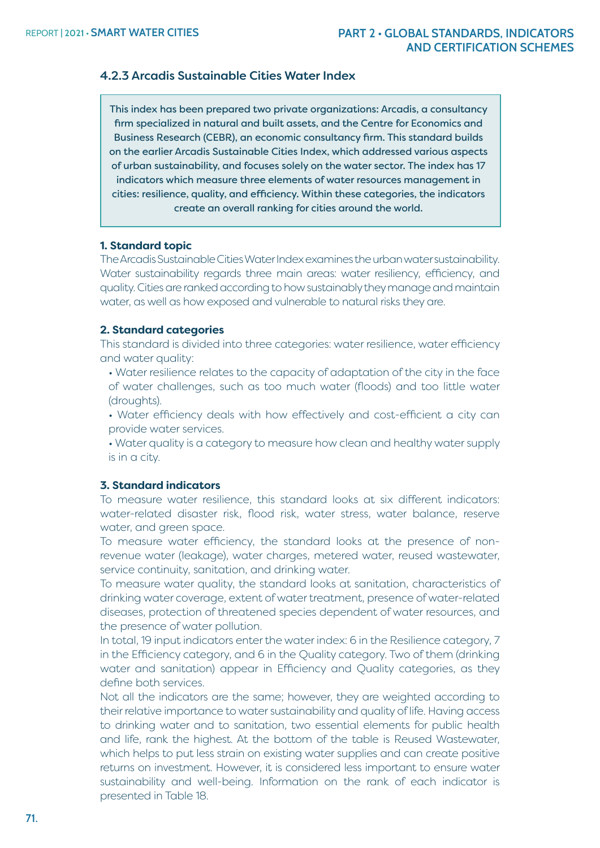# 4.2.3 Arcadis Sustainable Cities Water Index

This index has been prepared two private organizations: Arcadis, a consultancy firm specialized in natural and built assets, and the Centre for Economics and Business Research (CEBR), an economic consultancy firm. This standard builds on the earlier Arcadis Sustainable Cities Index, which addressed various aspects of urban sustainability, and focuses solely on the water sector. The index has 17 indicators which measure three elements of water resources management in cities: resilience, quality, and efficiency. Within these categories, the indicators create an overall ranking for cities around the world.

#### **1. Standard topic**

The Arcadis Sustainable Cities Water Index examines the urban water sustainability. Water sustainability regards three main areas: water resiliency, efficiency, and quality. Cities are ranked according to how sustainably they manage and maintain water, as well as how exposed and vulnerable to natural risks they are.

#### **2. Standard categories**

This standard is divided into three categories: water resilience, water efficiency and water quality:

• Water resilience relates to the capacity of adaptation of the city in the face of water challenges, such as too much water (floods) and too little water (droughts).

• Water efficiency deals with how effectively and cost-efficient a city can provide water services.

• Water quality is a category to measure how clean and healthy water supply is in a city.

#### **3. Standard indicators**

To measure water resilience, this standard looks at six different indicators: water-related disaster risk, flood risk, water stress, water balance, reserve water, and green space.

To measure water efficiency, the standard looks at the presence of nonrevenue water (leakage), water charges, metered water, reused wastewater, service continuity, sanitation, and drinking water.

To measure water quality, the standard looks at sanitation, characteristics of drinking water coverage, extent of water treatment, presence of water-related diseases, protection of threatened species dependent of water resources, and the presence of water pollution.

In total, 19 input indicators enter the water index: 6 in the Resilience category, 7 in the Efficiency category, and 6 in the Quality category. Two of them (drinking water and sanitation) appear in Efficiency and Quality categories, as they define both services.

Not all the indicators are the same; however, they are weighted according to their relative importance to water sustainability and quality of life. Having access to drinking water and to sanitation, two essential elements for public health and life, rank the highest. At the bottom of the table is Reused Wastewater, which helps to put less strain on existing water supplies and can create positive returns on investment. However, it is considered less important to ensure water sustainability and well-being. Information on the rank of each indicator is presented in Table 18.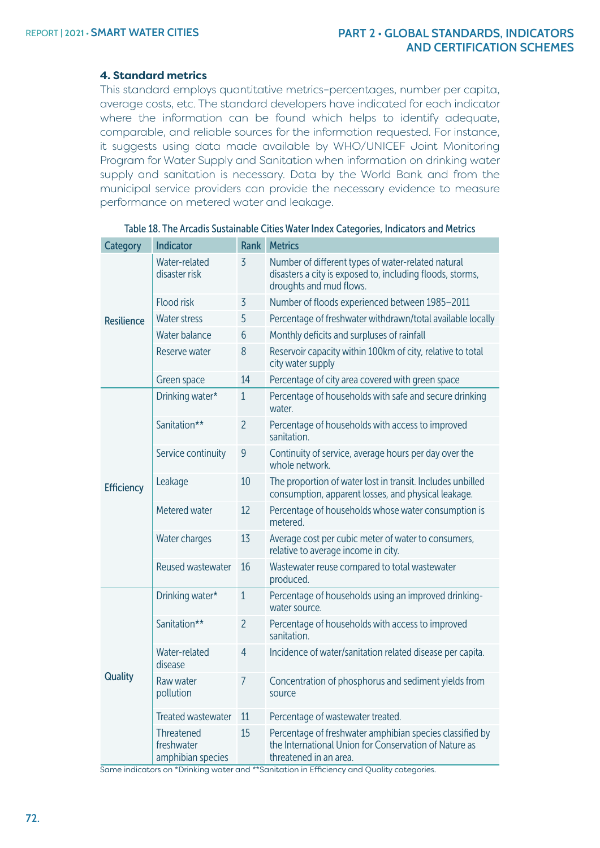#### **4. Standard metrics**

This standard employs quantitative metrics–percentages, number per capita, average costs, etc. The standard developers have indicated for each indicator where the information can be found which helps to identify adequate, comparable, and reliable sources for the information requested. For instance, it suggests using data made available by WHO/UNICEF Joint Monitoring Program for Water Supply and Sanitation when information on drinking water supply and sanitation is necessary. Data by the World Bank and from the municipal service providers can provide the necessary evidence to measure performance on metered water and leakage.

| <b>Category</b>   | Indicator                                     | Rank           | <b>Metrics</b>                                                                                                                              |
|-------------------|-----------------------------------------------|----------------|---------------------------------------------------------------------------------------------------------------------------------------------|
| <b>Resilience</b> | Water-related<br>disaster risk                | 3              | Number of different types of water-related natural<br>disasters a city is exposed to, including floods, storms,<br>droughts and mud flows.  |
|                   | <b>Flood risk</b>                             | 3              | Number of floods experienced between 1985-2011                                                                                              |
|                   | <b>Water stress</b>                           | 5              | Percentage of freshwater withdrawn/total available locally                                                                                  |
|                   | Water balance                                 | 6              | Monthly deficits and surpluses of rainfall                                                                                                  |
|                   | Reserve water                                 | 8              | Reservoir capacity within 100km of city, relative to total<br>city water supply                                                             |
|                   | Green space                                   | 14             | Percentage of city area covered with green space                                                                                            |
|                   | Drinking water*                               | $\mathbf{1}$   | Percentage of households with safe and secure drinking<br>water.                                                                            |
|                   | Sanitation**                                  | $\overline{c}$ | Percentage of households with access to improved<br>sanitation.                                                                             |
| <b>Efficiency</b> | Service continuity                            | 9              | Continuity of service, average hours per day over the<br>whole network.                                                                     |
|                   | Leakage                                       | 10             | The proportion of water lost in transit. Includes unbilled<br>consumption, apparent losses, and physical leakage.                           |
|                   | Metered water                                 | 12             | Percentage of households whose water consumption is<br>metered.                                                                             |
|                   | Water charges                                 | 13             | Average cost per cubic meter of water to consumers,<br>relative to average income in city.                                                  |
|                   | Reused wastewater                             | 16             | Wastewater reuse compared to total wastewater<br>produced.                                                                                  |
| Quality           | Drinking water*                               | $\overline{1}$ | Percentage of households using an improved drinking-<br>water source.                                                                       |
|                   | Sanitation**                                  | $\overline{2}$ | Percentage of households with access to improved<br>sanitation.                                                                             |
|                   | Water-related<br>disease                      | 4              | Incidence of water/sanitation related disease per capita.                                                                                   |
|                   | Raw water<br>pollution                        | 7              | Concentration of phosphorus and sediment yields from<br>source                                                                              |
|                   | <b>Treated wastewater</b>                     | 11             | Percentage of wastewater treated.                                                                                                           |
|                   | Threatened<br>freshwater<br>amphibian species | 15             | Percentage of freshwater amphibian species classified by<br>the International Union for Conservation of Nature as<br>threatened in an area. |

#### Table 18. The Arcadis Sustainable Cities Water Index Categories, Indicators and Metrics

Same indicators on \*Drinking water and \*\*Sanitation in Efficiency and Quality categories.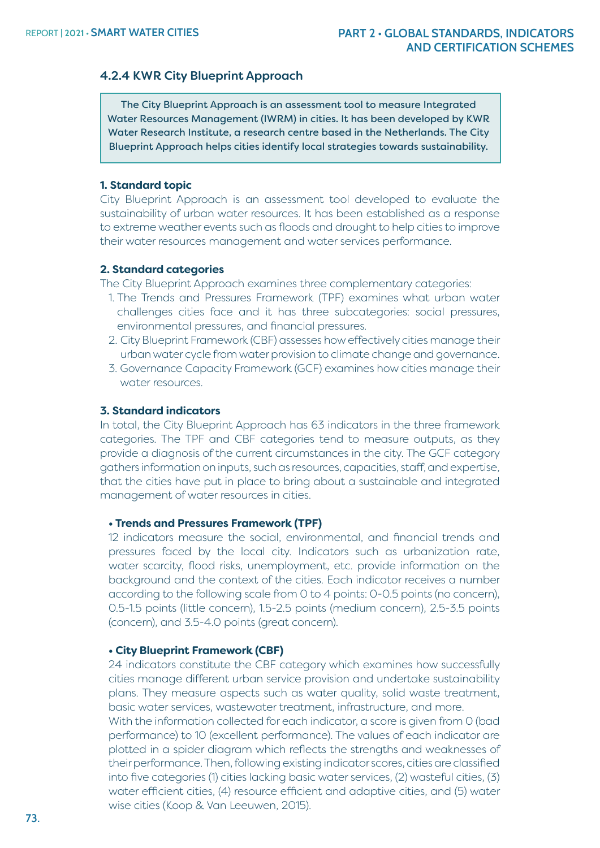#### 4.2.4 KWR City Blueprint Approach

The City Blueprint Approach is an assessment tool to measure Integrated Water Resources Management (IWRM) in cities. It has been developed by KWR Water Research Institute, a research centre based in the Netherlands. The City Blueprint Approach helps cities identify local strategies towards sustainability.

#### **1. Standard topic**

City Blueprint Approach is an assessment tool developed to evaluate the sustainability of urban water resources. It has been established as a response to extreme weather events such as floods and drought to help cities to improve their water resources management and water services performance.

#### **2. Standard categories**

The City Blueprint Approach examines three complementary categories:

- 1. The Trends and Pressures Framework (TPF) examines what urban water challenges cities face and it has three subcategories: social pressures, environmental pressures, and financial pressures.
- 2. City Blueprint Framework (CBF) assesses how effectively cities manage their urban water cycle from water provision to climate change and governance.
- 3. Governance Capacity Framework (GCF) examines how cities manage their water resources.

#### **3. Standard indicators**

In total, the City Blueprint Approach has 63 indicators in the three framework categories. The TPF and CBF categories tend to measure outputs, as they provide a diagnosis of the current circumstances in the city. The GCF category gathers information on inputs, such as resources, capacities, staff, and expertise, that the cities have put in place to bring about a sustainable and integrated management of water resources in cities.

#### **• Trends and Pressures Framework (TPF)**

12 indicators measure the social, environmental, and financial trends and pressures faced by the local city. Indicators such as urbanization rate, water scarcity, flood risks, unemployment, etc. provide information on the background and the context of the cities. Each indicator receives a number according to the following scale from 0 to 4 points: 0-0.5 points (no concern), 0.5-1.5 points (little concern), 1.5-2.5 points (medium concern), 2.5-3.5 points (concern), and 3.5-4.0 points (great concern).

#### **• City Blueprint Framework (CBF)**

24 indicators constitute the CBF category which examines how successfully cities manage different urban service provision and undertake sustainability plans. They measure aspects such as water quality, solid waste treatment, basic water services, wastewater treatment, infrastructure, and more. With the information collected for each indicator, a score is given from 0 (bad performance) to 10 (excellent performance). The values of each indicator are plotted in a spider diagram which reflects the strengths and weaknesses of their performance. Then, following existing indicator scores, cities are classified into five categories (1) cities lacking basic water services, (2) wasteful cities, (3) water efficient cities, (4) resource efficient and adaptive cities, and (5) water wise cities (Koop & Van Leeuwen, 2015).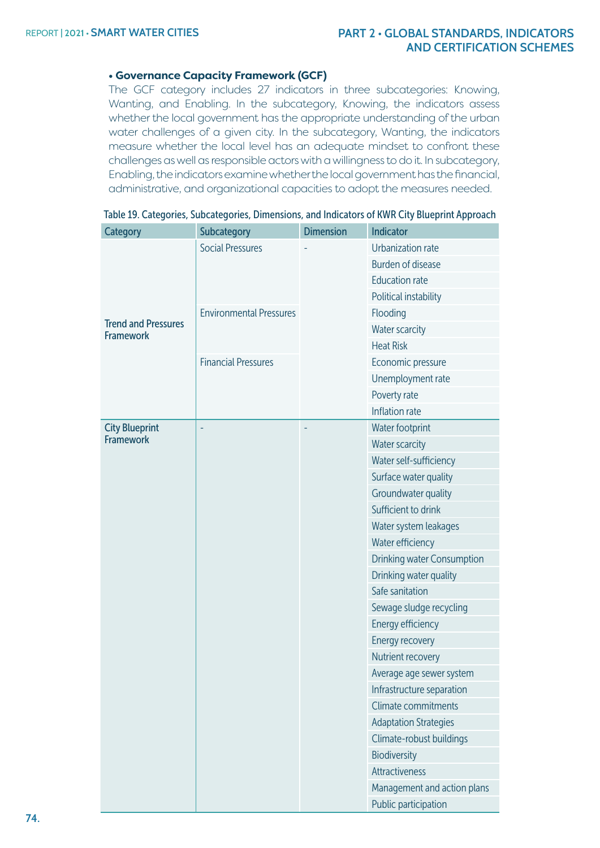# **• Governance Capacity Framework (GCF)**

The GCF category includes 27 indicators in three subcategories: Knowing, Wanting, and Enabling. In the subcategory, Knowing, the indicators assess whether the local government has the appropriate understanding of the urban water challenges of a given city. In the subcategory, Wanting, the indicators measure whether the local level has an adequate mindset to confront these challenges as well as responsible actors with a willingness to do it. In subcategory, Enabling, the indicators examine whether the local government has the financial, administrative, and organizational capacities to adopt the measures needed.

| <b>Category</b>                                | Subcategory                    | <b>Dimension</b> | <b>Indicator</b>                  |
|------------------------------------------------|--------------------------------|------------------|-----------------------------------|
|                                                | <b>Social Pressures</b>        |                  | Urbanization rate                 |
|                                                |                                |                  | <b>Burden of disease</b>          |
|                                                |                                |                  | <b>Education rate</b>             |
|                                                |                                |                  | Political instability             |
|                                                | <b>Environmental Pressures</b> |                  | Flooding                          |
| <b>Trend and Pressures</b><br><b>Framework</b> |                                |                  | Water scarcity                    |
|                                                |                                |                  | <b>Heat Risk</b>                  |
|                                                | <b>Financial Pressures</b>     |                  | Economic pressure                 |
|                                                |                                |                  | Unemployment rate                 |
|                                                |                                |                  | Poverty rate                      |
|                                                |                                |                  | Inflation rate                    |
| <b>City Blueprint</b>                          | ÷                              | Ë                | Water footprint                   |
| <b>Framework</b>                               |                                |                  | <b>Water scarcity</b>             |
|                                                |                                |                  | Water self-sufficiency            |
|                                                |                                |                  | Surface water quality             |
|                                                |                                |                  | Groundwater quality               |
|                                                |                                |                  | Sufficient to drink               |
|                                                |                                |                  | Water system leakages             |
|                                                |                                |                  | Water efficiency                  |
|                                                |                                |                  | <b>Drinking water Consumption</b> |
|                                                |                                |                  | Drinking water quality            |
|                                                |                                |                  | Safe sanitation                   |
|                                                |                                |                  | Sewage sludge recycling           |
|                                                |                                |                  | Energy efficiency                 |
|                                                |                                |                  | Energy recovery                   |
|                                                |                                |                  | Nutrient recovery                 |
|                                                |                                |                  | Average age sewer system          |
|                                                |                                |                  | Infrastructure separation         |
|                                                |                                |                  | Climate commitments               |
|                                                |                                |                  | <b>Adaptation Strategies</b>      |
|                                                |                                |                  | Climate-robust buildings          |
|                                                |                                |                  | Biodiversity                      |
|                                                |                                |                  | Attractiveness                    |
|                                                |                                |                  | Management and action plans       |
|                                                |                                |                  | Public participation              |

|  | Table 19. Categories, Subcategories, Dimensions, and Indicators of KWR City Blueprint Approach |  |  |  |
|--|------------------------------------------------------------------------------------------------|--|--|--|
|  |                                                                                                |  |  |  |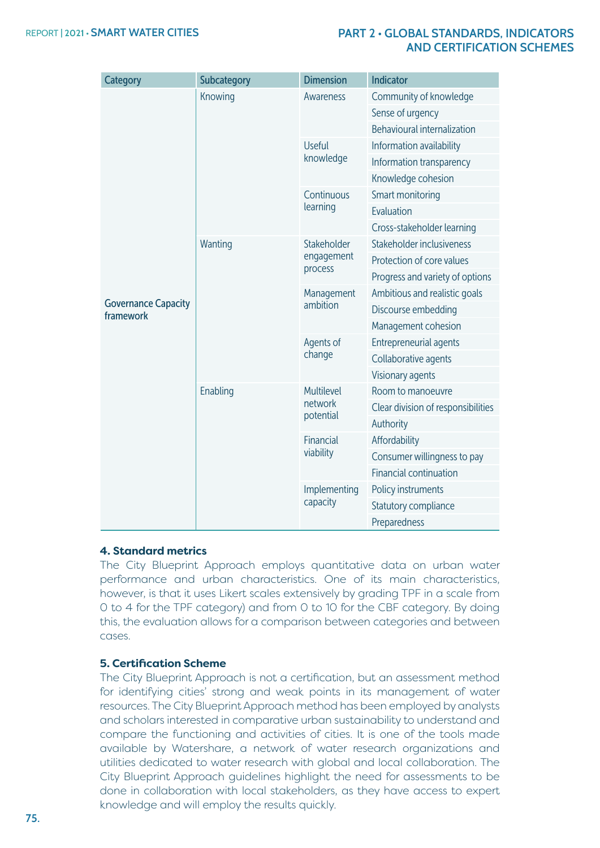| <b>Category</b>                         | <b>Subcategory</b> | <b>Dimension</b>                   | Indicator                          |
|-----------------------------------------|--------------------|------------------------------------|------------------------------------|
|                                         | Knowing            | Awareness                          | Community of knowledge             |
|                                         |                    |                                    | Sense of urgency                   |
|                                         |                    |                                    | <b>Behavioural internalization</b> |
|                                         |                    | <b>Useful</b>                      | Information availability           |
|                                         |                    | knowledge                          | Information transparency           |
|                                         |                    |                                    | Knowledge cohesion                 |
|                                         |                    | Continuous                         | Smart monitoring                   |
|                                         |                    | learning                           | Evaluation                         |
|                                         |                    |                                    | Cross-stakeholder learning         |
|                                         | Wanting            | Stakeholder                        | Stakeholder inclusiveness          |
|                                         |                    | engagement                         | Protection of core values          |
|                                         |                    | process                            | Progress and variety of options    |
|                                         |                    | Management<br>ambition             | Ambitious and realistic goals      |
| <b>Governance Capacity</b><br>framework |                    |                                    | Discourse embedding                |
|                                         |                    |                                    | Management cohesion                |
|                                         |                    | Agents of<br>change                | <b>Entrepreneurial agents</b>      |
|                                         |                    |                                    | Collaborative agents               |
|                                         |                    |                                    | Visionary agents                   |
|                                         | Enabling           | Multilevel<br>network<br>potential | Room to manoeuvre                  |
|                                         |                    |                                    | Clear division of responsibilities |
|                                         |                    |                                    | Authority                          |
|                                         |                    | Financial                          | Affordability                      |
|                                         |                    | viability                          | Consumer willingness to pay        |
|                                         |                    |                                    | <b>Financial continuation</b>      |
|                                         |                    | Implementing                       | Policy instruments                 |
|                                         |                    | capacity                           | Statutory compliance               |
|                                         |                    |                                    | Preparedness                       |

#### **4. Standard metrics**

The City Blueprint Approach employs quantitative data on urban water performance and urban characteristics. One of its main characteristics, however, is that it uses Likert scales extensively by grading TPF in a scale from 0 to 4 for the TPF category) and from 0 to 10 for the CBF category. By doing this, the evaluation allows for a comparison between categories and between cases.

#### **5. Certification Scheme**

The City Blueprint Approach is not a certification, but an assessment method for identifying cities' strong and weak points in its management of water resources. The City Blueprint Approach method has been employed by analysts and scholars interested in comparative urban sustainability to understand and compare the functioning and activities of cities. It is one of the tools made available by Watershare, a network of water research organizations and utilities dedicated to water research with global and local collaboration. The City Blueprint Approach guidelines highlight the need for assessments to be done in collaboration with local stakeholders, as they have access to expert knowledge and will employ the results quickly.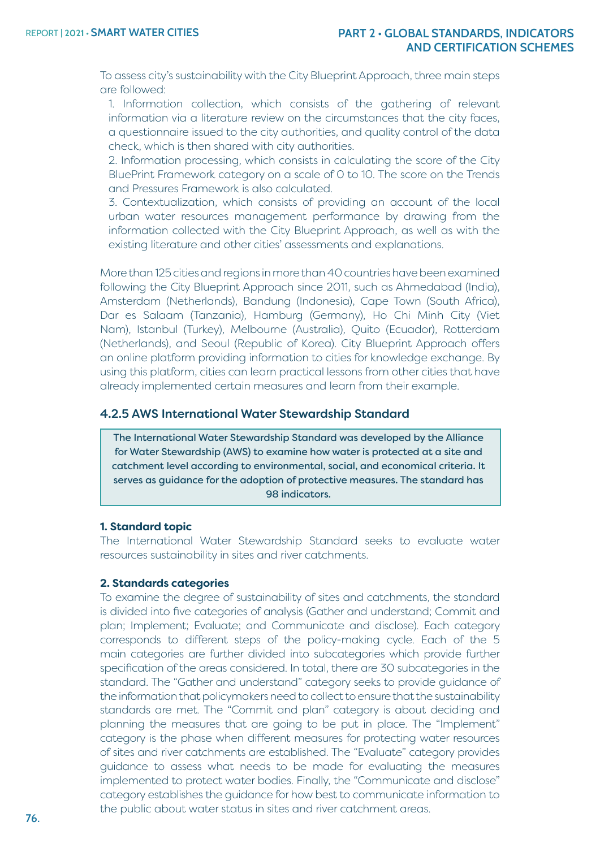To assess city's sustainability with the City Blueprint Approach, three main steps are followed:

1. Information collection, which consists of the gathering of relevant information via a literature review on the circumstances that the city faces, a questionnaire issued to the city authorities, and quality control of the data check, which is then shared with city authorities.

2. Information processing, which consists in calculating the score of the City BluePrint Framework category on a scale of 0 to 10. The score on the Trends and Pressures Framework is also calculated.

3. Contextualization, which consists of providing an account of the local urban water resources management performance by drawing from the information collected with the City Blueprint Approach, as well as with the existing literature and other cities' assessments and explanations.

More than 125 cities and regions in more than 40 countries have been examined following the City Blueprint Approach since 2011, such as Ahmedabad (India), Amsterdam (Netherlands), Bandung (Indonesia), Cape Town (South Africa), Dar es Salaam (Tanzania), Hamburg (Germany), Ho Chi Minh City (Viet Nam), Istanbul (Turkey), Melbourne (Australia), Quito (Ecuador), Rotterdam (Netherlands), and Seoul (Republic of Korea). City Blueprint Approach offers an online platform providing information to cities for knowledge exchange. By using this platform, cities can learn practical lessons from other cities that have already implemented certain measures and learn from their example.

#### 4.2.5 AWS International Water Stewardship Standard

The International Water Stewardship Standard was developed by the Alliance for Water Stewardship (AWS) to examine how water is protected at a site and catchment level according to environmental, social, and economical criteria. It serves as guidance for the adoption of protective measures. The standard has 98 indicators.

#### **1. Standard topic**

The International Water Stewardship Standard seeks to evaluate water resources sustainability in sites and river catchments.

#### **2. Standards categories**

To examine the degree of sustainability of sites and catchments, the standard is divided into five categories of analysis (Gather and understand; Commit and plan; Implement; Evaluate; and Communicate and disclose). Each category corresponds to different steps of the policy-making cycle. Each of the 5 main categories are further divided into subcategories which provide further specification of the areas considered. In total, there are 30 subcategories in the standard. The "Gather and understand" category seeks to provide guidance of the information that policymakers need to collect to ensure that the sustainability standards are met. The "Commit and plan" category is about deciding and planning the measures that are going to be put in place. The "Implement" category is the phase when different measures for protecting water resources of sites and river catchments are established. The "Evaluate" category provides guidance to assess what needs to be made for evaluating the measures implemented to protect water bodies. Finally, the "Communicate and disclose" category establishes the guidance for how best to communicate information to the public about water status in sites and river catchment areas.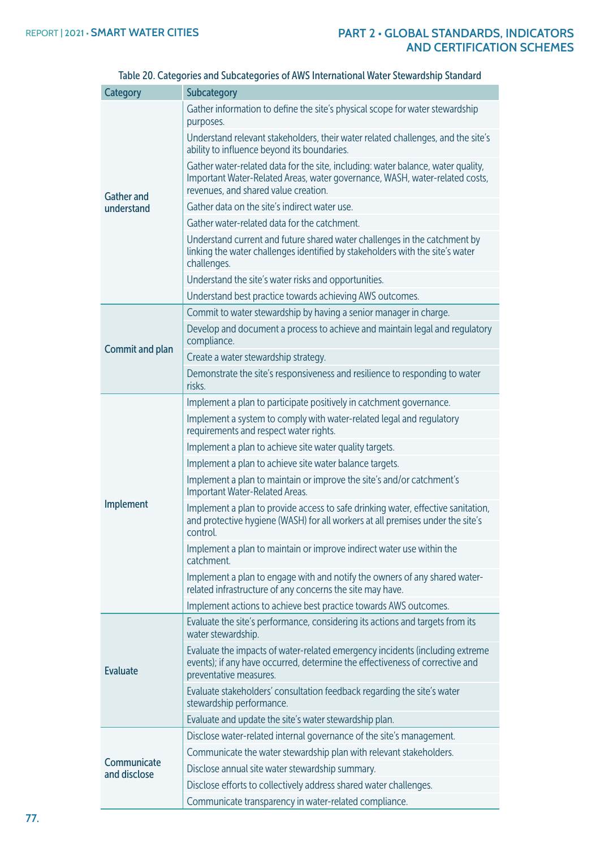| Category                    | <b>Subcategory</b>                                                                                                                                                                                      |
|-----------------------------|---------------------------------------------------------------------------------------------------------------------------------------------------------------------------------------------------------|
|                             | Gather information to define the site's physical scope for water stewardship<br>purposes.                                                                                                               |
|                             | Understand relevant stakeholders, their water related challenges, and the site's<br>ability to influence beyond its boundaries.                                                                         |
| <b>Gather and</b>           | Gather water-related data for the site, including: water balance, water quality,<br>Important Water-Related Areas, water governance, WASH, water-related costs,<br>revenues, and shared value creation. |
| understand                  | Gather data on the site's indirect water use.                                                                                                                                                           |
|                             | Gather water-related data for the catchment.                                                                                                                                                            |
|                             | Understand current and future shared water challenges in the catchment by<br>linking the water challenges identified by stakeholders with the site's water<br>challenges.                               |
|                             | Understand the site's water risks and opportunities.                                                                                                                                                    |
|                             | Understand best practice towards achieving AWS outcomes.                                                                                                                                                |
|                             | Commit to water stewardship by having a senior manager in charge.                                                                                                                                       |
| Commit and plan             | Develop and document a process to achieve and maintain legal and regulatory<br>compliance.                                                                                                              |
|                             | Create a water stewardship strategy.                                                                                                                                                                    |
|                             | Demonstrate the site's responsiveness and resilience to responding to water<br>risks.                                                                                                                   |
|                             | Implement a plan to participate positively in catchment governance.                                                                                                                                     |
|                             | Implement a system to comply with water-related legal and regulatory<br>requirements and respect water rights.                                                                                          |
|                             | Implement a plan to achieve site water quality targets.                                                                                                                                                 |
|                             | Implement a plan to achieve site water balance targets.                                                                                                                                                 |
|                             | Implement a plan to maintain or improve the site's and/or catchment's<br>Important Water-Related Areas.                                                                                                 |
| Implement                   | Implement a plan to provide access to safe drinking water, effective sanitation,<br>and protective hygiene (WASH) for all workers at all premises under the site's<br>control.                          |
|                             | Implement a plan to maintain or improve indirect water use within the<br>catchment.                                                                                                                     |
|                             | Implement a plan to engage with and notify the owners of any shared water-<br>related infrastructure of any concerns the site may have.                                                                 |
|                             | Implement actions to achieve best practice towards AWS outcomes.                                                                                                                                        |
|                             | Evaluate the site's performance, considering its actions and targets from its<br>water stewardship.                                                                                                     |
| <b>Evaluate</b>             | Evaluate the impacts of water-related emergency incidents (including extreme<br>events); if any have occurred, determine the effectiveness of corrective and<br>preventative measures.                  |
|                             | Evaluate stakeholders' consultation feedback regarding the site's water<br>stewardship performance.                                                                                                     |
|                             | Evaluate and update the site's water stewardship plan.                                                                                                                                                  |
|                             | Disclose water-related internal governance of the site's management.                                                                                                                                    |
|                             | Communicate the water stewardship plan with relevant stakeholders.                                                                                                                                      |
| Communicate<br>and disclose | Disclose annual site water stewardship summary.                                                                                                                                                         |
|                             | Disclose efforts to collectively address shared water challenges.                                                                                                                                       |
|                             | Communicate transparency in water-related compliance.                                                                                                                                                   |

Table 20. Categories and Subcategories of AWS International Water Stewardship Standard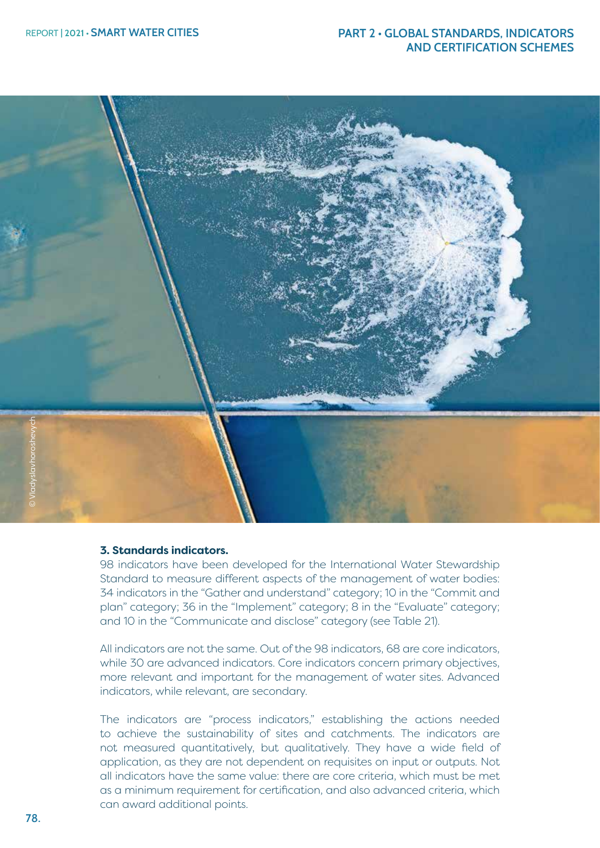

#### **3. Standards indicators.**

98 indicators have been developed for the International Water Stewardship Standard to measure different aspects of the management of water bodies: 34 indicators in the "Gather and understand" category; 10 in the "Commit and plan" category; 36 in the "Implement" category; 8 in the "Evaluate" category; and 10 in the "Communicate and disclose" category (see Table 21).

All indicators are not the same. Out of the 98 indicators, 68 are core indicators, while 30 are advanced indicators. Core indicators concern primary objectives, more relevant and important for the management of water sites. Advanced indicators, while relevant, are secondary.

The indicators are "process indicators," establishing the actions needed to achieve the sustainability of sites and catchments. The indicators are not measured quantitatively, but qualitatively. They have a wide field of application, as they are not dependent on requisites on input or outputs. Not all indicators have the same value: there are core criteria, which must be met as a minimum requirement for certification, and also advanced criteria, which can award additional points.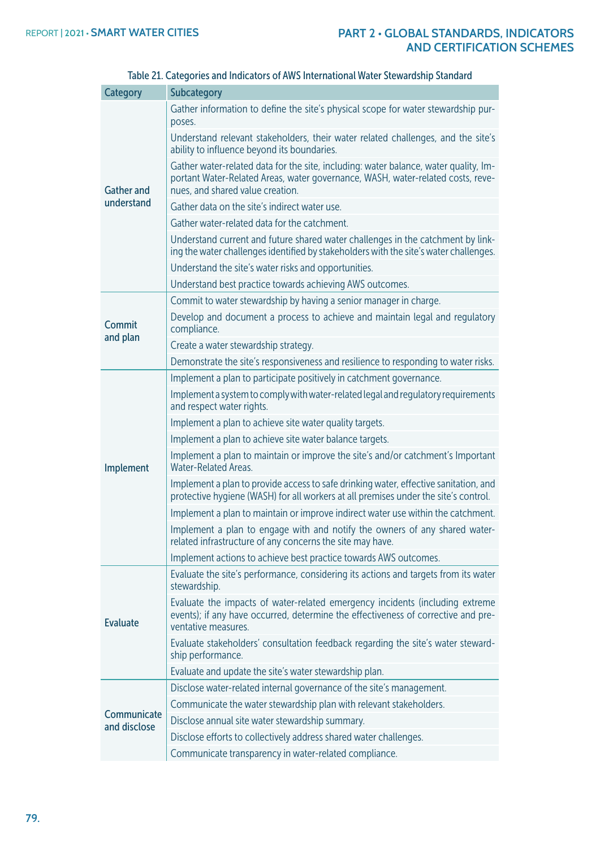| <b>Category</b>             | Subcategory                                                                                                                                                                                                 |
|-----------------------------|-------------------------------------------------------------------------------------------------------------------------------------------------------------------------------------------------------------|
|                             | Gather information to define the site's physical scope for water stewardship pur-<br>poses.                                                                                                                 |
|                             | Understand relevant stakeholders, their water related challenges, and the site's<br>ability to influence beyond its boundaries.                                                                             |
| <b>Gather and</b>           | Gather water-related data for the site, including: water balance, water quality, Im-<br>portant Water-Related Areas, water governance, WASH, water-related costs, reve-<br>nues, and shared value creation. |
| understand                  | Gather data on the site's indirect water use.                                                                                                                                                               |
|                             | Gather water-related data for the catchment.                                                                                                                                                                |
|                             | Understand current and future shared water challenges in the catchment by link-<br>ing the water challenges identified by stakeholders with the site's water challenges.                                    |
|                             | Understand the site's water risks and opportunities.                                                                                                                                                        |
|                             | Understand best practice towards achieving AWS outcomes.                                                                                                                                                    |
|                             | Commit to water stewardship by having a senior manager in charge.                                                                                                                                           |
| Commit                      | Develop and document a process to achieve and maintain legal and regulatory<br>compliance.                                                                                                                  |
| and plan                    | Create a water stewardship strategy.                                                                                                                                                                        |
|                             | Demonstrate the site's responsiveness and resilience to responding to water risks.                                                                                                                          |
|                             | Implement a plan to participate positively in catchment governance.                                                                                                                                         |
|                             | Implement a system to comply with water-related legal and regulatory requirements<br>and respect water rights.                                                                                              |
|                             | Implement a plan to achieve site water quality targets.                                                                                                                                                     |
|                             | Implement a plan to achieve site water balance targets.                                                                                                                                                     |
| Implement                   | Implement a plan to maintain or improve the site's and/or catchment's Important<br><b>Water-Related Areas.</b>                                                                                              |
|                             | Implement a plan to provide access to safe drinking water, effective sanitation, and<br>protective hygiene (WASH) for all workers at all premises under the site's control.                                 |
|                             | Implement a plan to maintain or improve indirect water use within the catchment.                                                                                                                            |
|                             | Implement a plan to engage with and notify the owners of any shared water-<br>related infrastructure of any concerns the site may have.                                                                     |
|                             | Implement actions to achieve best practice towards AWS outcomes.                                                                                                                                            |
|                             | Evaluate the site's performance, considering its actions and targets from its water<br>stewardship.                                                                                                         |
| <b>Evaluate</b>             | Evaluate the impacts of water-related emergency incidents (including extreme<br>events); if any have occurred, determine the effectiveness of corrective and pre-<br>ventative measures.                    |
|                             | Evaluate stakeholders' consultation feedback regarding the site's water steward-<br>ship performance.                                                                                                       |
|                             | Evaluate and update the site's water stewardship plan.                                                                                                                                                      |
|                             | Disclose water-related internal governance of the site's management.                                                                                                                                        |
|                             | Communicate the water stewardship plan with relevant stakeholders.                                                                                                                                          |
| Communicate<br>and disclose | Disclose annual site water stewardship summary.                                                                                                                                                             |
|                             | Disclose efforts to collectively address shared water challenges.                                                                                                                                           |
|                             | Communicate transparency in water-related compliance.                                                                                                                                                       |

# Table 21. Categories and Indicators of AWS International Water Stewardship Standard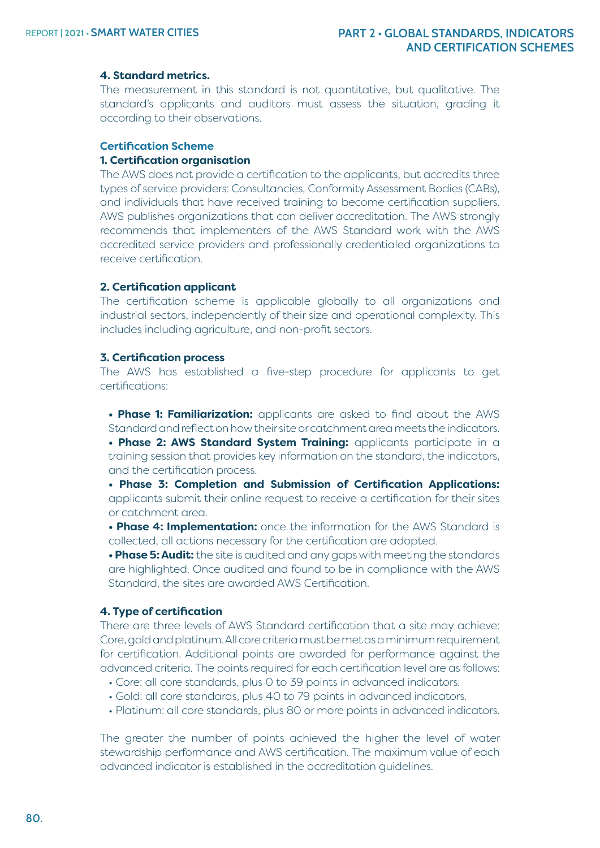#### **4. Standard metrics.**

The measurement in this standard is not quantitative, but qualitative. The standard's applicants and auditors must assess the situation, grading it according to their observations.

#### **Certification Scheme 1. Certification organisation**

The AWS does not provide a certification to the applicants, but accredits three types of service providers: Consultancies, Conformity Assessment Bodies (CABs), and individuals that have received training to become certification suppliers. AWS publishes organizations that can deliver accreditation. The AWS strongly recommends that implementers of the AWS Standard work with the AWS accredited service providers and professionally credentialed organizations to receive certification.

#### **2. Certification applicant**

The certification scheme is applicable globally to all organizations and industrial sectors, independently of their size and operational complexity. This includes including agriculture, and non-profit sectors.

#### **3. Certification process**

The AWS has established a five-step procedure for applicants to get certifications:

**• Phase 1: Familiarization:** applicants are asked to find about the AWS Standard and reflect on how their site or catchment area meets the indicators.

**• Phase 2: [AWS Standard System Training:](https://a4ws.org/training/aws-standard-system-training/)** applicants participate in a training session that provides key information on the standard, the indicators, and the certification process.

**• Phase 3: Completion and Submission of Certification Applications:**  applicants submit their online request to receive a certification for their sites or catchment area.

**• Phase 4: Implementation:** once the information for the AWS Standard is collected, all actions necessary for the certification are adopted.

**• Phase 5: Audit:** the site is audited and any gaps with meeting the standards are highlighted. Once audited and found to be in compliance with the AWS Standard, the sites are awarded AWS Certification.

#### **4. Type of certification**

There are three levels of AWS Standard certification that a site may achieve: Core, gold and platinum. All core criteria must be met as a minimum requirement for certification. Additional points are awarded for performance against the advanced criteria. The points required for each certification level are as follows:

- Core: all core standards, plus 0 to 39 points in advanced indicators.
- Gold: all core standards, plus 40 to 79 points in advanced indicators.
- Platinum: all core standards, plus 80 or more points in advanced indicators.

The greater the number of points achieved the higher the level of water stewardship performance and AWS certification. The maximum value of each advanced indicator is established in the accreditation guidelines.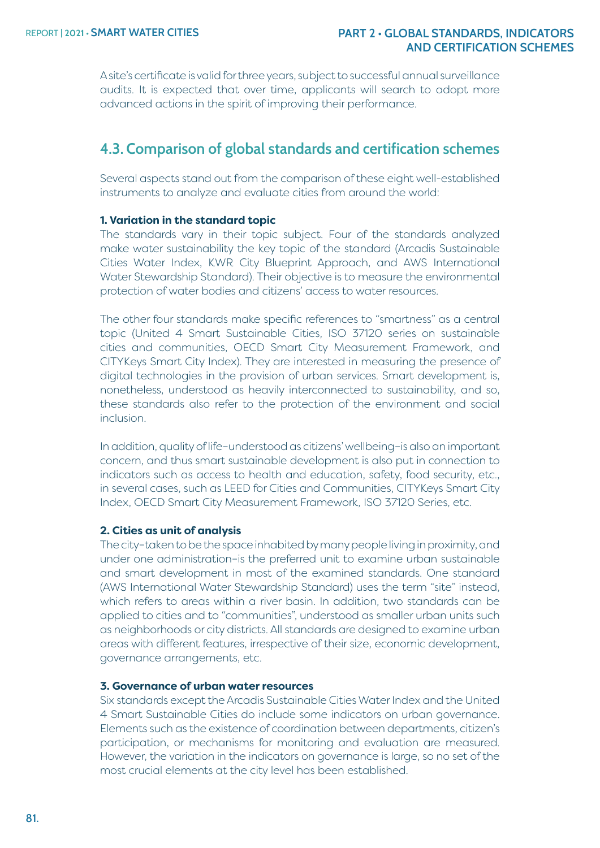A site's certificate is valid for three years, subject to successful annual surveillance audits. It is expected that over time, applicants will search to adopt more advanced actions in the spirit of improving their performance.

# **4.3. Comparison of global standards and certification schemes**

Several aspects stand out from the comparison of these eight well-established instruments to analyze and evaluate cities from around the world:

#### **1. Variation in the standard topic**

The standards vary in their topic subject. Four of the standards analyzed make water sustainability the key topic of the standard (Arcadis Sustainable Cities Water Index, KWR City Blueprint Approach, and AWS International Water Stewardship Standard). Their objective is to measure the environmental protection of water bodies and citizens' access to water resources.

The other four standards make specific references to "smartness" as a central topic (United 4 Smart Sustainable Cities, ISO 37120 series on sustainable cities and communities, OECD Smart City Measurement Framework, and CITYKeys Smart City Index). They are interested in measuring the presence of digital technologies in the provision of urban services. Smart development is, nonetheless, understood as heavily interconnected to sustainability, and so, these standards also refer to the protection of the environment and social inclusion.

In addition, quality of life–understood as citizens' wellbeing–is also an important concern, and thus smart sustainable development is also put in connection to indicators such as access to health and education, safety, food security, etc., in several cases, such as LEED for Cities and Communities, CITYKeys Smart City Index, OECD Smart City Measurement Framework, ISO 37120 Series, etc.

#### **2. Cities as unit of analysis**

The city–taken to be the space inhabited by many people living in proximity, and under one administration–is the preferred unit to examine urban sustainable and smart development in most of the examined standards. One standard (AWS International Water Stewardship Standard) uses the term "site" instead, which refers to areas within a river basin. In addition, two standards can be applied to cities and to "communities", understood as smaller urban units such as neighborhoods or city districts. All standards are designed to examine urban areas with different features, irrespective of their size, economic development, governance arrangements, etc.

#### **3. Governance of urban water resources**

Six standards except the Arcadis Sustainable Cities Water Index and the United 4 Smart Sustainable Cities do include some indicators on urban governance. Elements such as the existence of coordination between departments, citizen's participation, or mechanisms for monitoring and evaluation are measured. However, the variation in the indicators on governance is large, so no set of the most crucial elements at the city level has been established.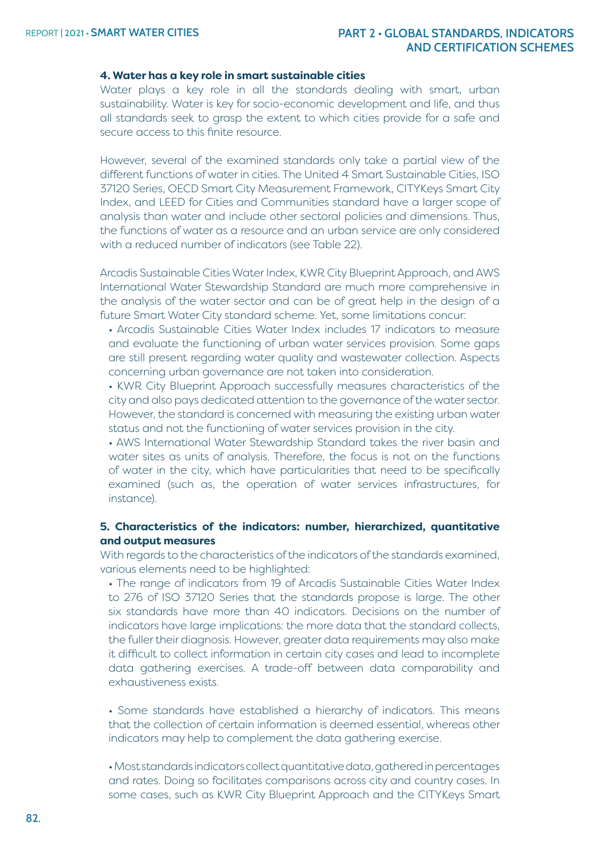#### **4. Water has a key role in smart sustainable cities**

Water plays a key role in all the standards dealing with smart, urban sustainability. Water is key for socio-economic development and life, and thus all standards seek to grasp the extent to which cities provide for a safe and secure access to this finite resource.

However, several of the examined standards only take a partial view of the different functions of water in cities. The United 4 Smart Sustainable Cities, ISO 37120 Series, OECD Smart City Measurement Framework, CITYKeys Smart City Index, and LEED for Cities and Communities standard have a larger scope of analysis than water and include other sectoral policies and dimensions. Thus, the functions of water as a resource and an urban service are only considered with a reduced number of indicators (see [Table](#page-36-0) 22).

Arcadis Sustainable Cities Water Index, KWR City Blueprint Approach, and AWS International Water Stewardship Standard are much more comprehensive in the analysis of the water sector and can be of great help in the design of a future Smart Water City standard scheme. Yet, some limitations concur:

- Arcadis Sustainable Cities Water Index includes 17 indicators to measure and evaluate the functioning of urban water services provision. Some gaps are still present regarding water quality and wastewater collection. Aspects concerning urban governance are not taken into consideration.
- KWR City Blueprint Approach successfully measures characteristics of the city and also pays dedicated attention to the governance of the water sector. However, the standard is concerned with measuring the existing urban water status and not the functioning of water services provision in the city.

• AWS International Water Stewardship Standard takes the river basin and water sites as units of analysis. Therefore, the focus is not on the functions of water in the city, which have particularities that need to be specifically examined (such as, the operation of water services infrastructures, for instance).

#### **5. Characteristics of the indicators: number, hierarchized, quantitative and output measures**

With regards to the characteristics of the indicators of the standards examined, various elements need to be highlighted:

• The range of indicators from 19 of Arcadis Sustainable Cities Water Index to 276 of ISO 37120 Series that the standards propose is large. The other six standards have more than 40 indicators. Decisions on the number of indicators have large implications: the more data that the standard collects, the fuller their diagnosis. However, greater data requirements may also make it difficult to collect information in certain city cases and lead to incomplete data gathering exercises. A trade-off between data comparability and exhaustiveness exists.

• Some standards have established a hierarchy of indicators. This means that the collection of certain information is deemed essential, whereas other indicators may help to complement the data gathering exercise.

• Most standards indicators collect quantitative data, gathered in percentages and rates. Doing so facilitates comparisons across city and country cases. In some cases, such as KWR City Blueprint Approach and the CITYKeys Smart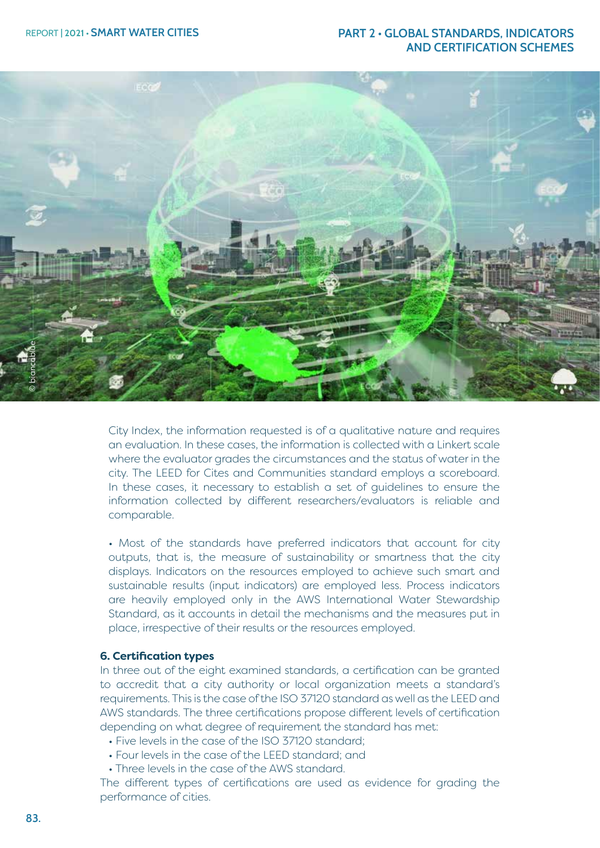

City Index, the information requested is of a qualitative nature and requires an evaluation. In these cases, the information is collected with a Linkert scale where the evaluator grades the circumstances and the status of water in the city. The LEED for Cites and Communities standard employs a scoreboard. In these cases, it necessary to establish a set of guidelines to ensure the information collected by different researchers/evaluators is reliable and comparable.

• Most of the standards have preferred indicators that account for city outputs, that is, the measure of sustainability or smartness that the city displays. Indicators on the resources employed to achieve such smart and sustainable results (input indicators) are employed less. Process indicators are heavily employed only in the AWS International Water Stewardship Standard, as it accounts in detail the mechanisms and the measures put in place, irrespective of their results or the resources employed.

#### **6. Certification types**

In three out of the eight examined standards, a certification can be granted to accredit that a city authority or local organization meets a standard's requirements. This is the case of the ISO 37120 standard as well as the LEED and AWS standards. The three certifications propose different levels of certification depending on what degree of requirement the standard has met:

- Five levels in the case of the ISO 37120 standard;
- Four levels in the case of the LEED standard; and
- Three levels in the case of the AWS standard.

The different types of certifications are used as evidence for grading the performance of cities.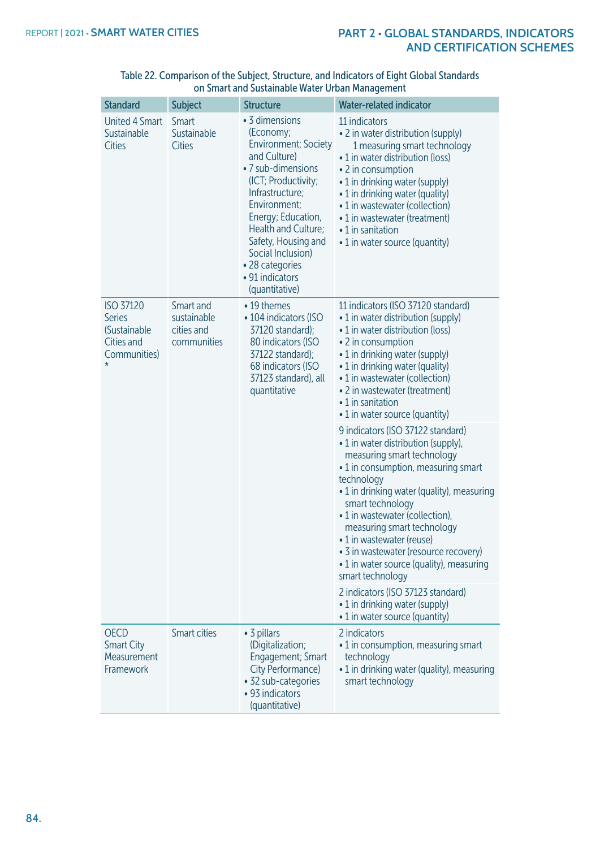| <b>Standard</b>                                                                            | <b>Subject</b>                                        | <b>Structure</b>                                                                                                                                                                                                                                                                                            | <b>Water-related indicator</b>                                                                                                                                                                                                                                                                                                                                                                                                                                            |
|--------------------------------------------------------------------------------------------|-------------------------------------------------------|-------------------------------------------------------------------------------------------------------------------------------------------------------------------------------------------------------------------------------------------------------------------------------------------------------------|---------------------------------------------------------------------------------------------------------------------------------------------------------------------------------------------------------------------------------------------------------------------------------------------------------------------------------------------------------------------------------------------------------------------------------------------------------------------------|
| <b>United 4 Smart</b><br>Sustainable<br><b>Cities</b>                                      | Smart<br>Sustainable<br><b>Cities</b>                 | • 3 dimensions<br>(Economy;<br><b>Environment; Society</b><br>and Culture)<br>• 7 sub-dimensions<br>(ICT; Productivity;<br>Infrastructure;<br>Environment;<br>Energy; Education,<br>Health and Culture;<br>Safety, Housing and<br>Social Inclusion)<br>• 28 categories<br>• 91 indicators<br>(quantitative) | 11 indicators<br>• 2 in water distribution (supply)<br>1 measuring smart technology<br>• 1 in water distribution (loss)<br>• 2 in consumption<br>• 1 in drinking water (supply)<br>• 1 in drinking water (quality)<br>• 1 in wastewater (collection)<br>• 1 in wastewater (treatment)<br>$\cdot$ 1 in sanitation<br>• 1 in water source (quantity)                                                                                                                        |
| <b>ISO 37120</b><br><b>Series</b><br>(Sustainable<br>Cities and<br>Communities)<br>$\star$ | Smart and<br>sustainable<br>cities and<br>communities | • 19 themes<br>• 104 indicators (ISO<br>37120 standard);<br>80 indicators (ISO<br>37122 standard);<br>68 indicators (ISO<br>37123 standard), all<br>quantitative                                                                                                                                            | 11 indicators (ISO 37120 standard)<br>• 1 in water distribution (supply)<br>• 1 in water distribution (loss)<br>• 2 in consumption<br>• 1 in drinking water (supply)<br>• 1 in drinking water (quality)<br>• 1 in wastewater (collection)<br>• 2 in wastewater (treatment)<br>• 1 in sanitation<br>• 1 in water source (quantity)                                                                                                                                         |
|                                                                                            |                                                       |                                                                                                                                                                                                                                                                                                             | 9 indicators (ISO 37122 standard)<br>• 1 in water distribution (supply),<br>measuring smart technology<br>• 1 in consumption, measuring smart<br>technology<br>• 1 in drinking water (quality), measuring<br>smart technology<br>• 1 in wastewater (collection),<br>measuring smart technology<br>• 1 in wastewater (reuse)<br>• 3 in wastewater (resource recovery)<br>• 1 in water source (quality), measuring<br>smart technology<br>2 indicators (ISO 37123 standard) |
|                                                                                            |                                                       |                                                                                                                                                                                                                                                                                                             | • 1 in drinking water (supply)<br>• 1 in water source (quantity)                                                                                                                                                                                                                                                                                                                                                                                                          |
| <b>OECD</b><br><b>Smart City</b><br>Measurement<br>Framework                               | <b>Smart cities</b>                                   | • 3 pillars<br>(Digitalization;<br>Engagement; Smart<br>City Performance)<br>• 32 sub-categories<br>• 93 indicators<br>(quantitative)                                                                                                                                                                       | 2 indicators<br>• 1 in consumption, measuring smart<br>technology<br>• 1 in drinking water (quality), measuring<br>smart technology                                                                                                                                                                                                                                                                                                                                       |

#### <span id="page-36-0"></span>Table 22. Comparison of the Subject, Structure, and Indicators of Eight Global Standards on Smart and Sustainable Water Urban Management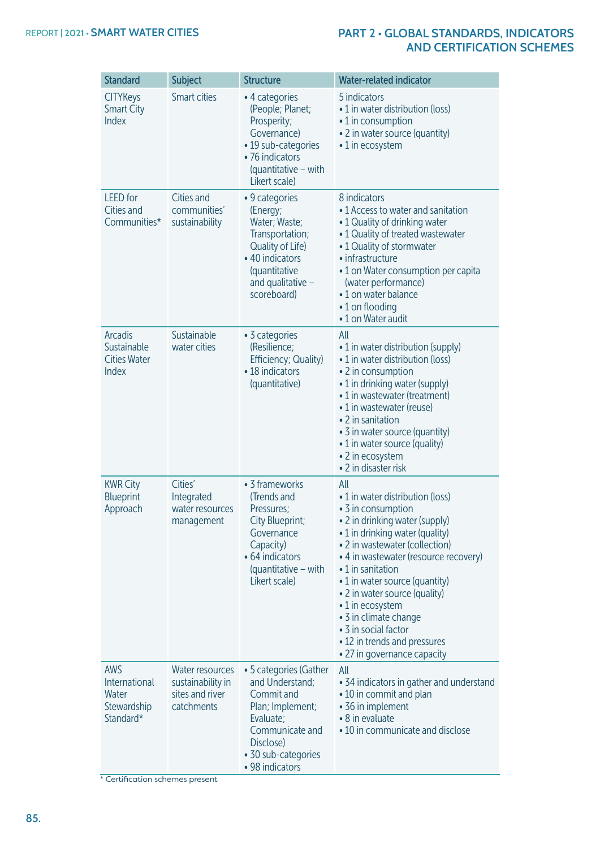| <b>Standard</b>                                                  | <b>Subject</b>                                                        | <b>Structure</b>                                                                                                                                                   | <b>Water-related indicator</b>                                                                                                                                                                                                                                                                                                                                                                                                            |
|------------------------------------------------------------------|-----------------------------------------------------------------------|--------------------------------------------------------------------------------------------------------------------------------------------------------------------|-------------------------------------------------------------------------------------------------------------------------------------------------------------------------------------------------------------------------------------------------------------------------------------------------------------------------------------------------------------------------------------------------------------------------------------------|
| <b>CITYKeys</b><br><b>Smart City</b><br>Index                    | <b>Smart cities</b>                                                   | • 4 categories<br>(People; Planet;<br>Prosperity;<br>Governance)<br>• 19 sub-categories<br>• 76 indicators<br>(quantitative - with<br>Likert scale)                | 5 indicators<br>• 1 in water distribution (loss)<br>• 1 in consumption<br>• 2 in water source (quantity)<br>• 1 in ecosystem                                                                                                                                                                                                                                                                                                              |
| <b>LEED</b> for<br>Cities and<br>Communities*                    | Cities and<br>communities'<br>sustainability                          | • 9 categories<br>(Energy;<br>Water; Waste;<br>Transportation;<br>Quality of Life)<br>• 40 indicators<br>(quantitative<br>and qualitative $-$<br>scoreboard)       | 8 indicators<br>• 1 Access to water and sanitation<br>• 1 Quality of drinking water<br>• 1 Quality of treated wastewater<br>• 1 Quality of stormwater<br>• infrastructure<br>• 1 on Water consumption per capita<br>(water performance)<br>•1 on water balance<br>$\cdot$ 1 on flooding<br>• 1 on Water audit                                                                                                                             |
| <b>Arcadis</b><br>Sustainable<br><b>Cities Water</b><br>Index    | Sustainable<br>water cities                                           | • 3 categories<br>(Resilience;<br>Efficiency; Quality)<br>• 18 indicators<br>(quantitative)                                                                        | All<br>• 1 in water distribution (supply)<br>• 1 in water distribution (loss)<br>• 2 in consumption<br>• 1 in drinking water (supply)<br>• 1 in wastewater (treatment)<br>• 1 in wastewater (reuse)<br>• 2 in sanitation<br>• 3 in water source (quantity)<br>• 1 in water source (quality)<br>• 2 in ecosystem<br>• 2 in disaster risk                                                                                                   |
| <b>KWR City</b><br><b>Blueprint</b><br>Approach                  | Cities'<br>Integrated<br>water resources<br>management                | • 3 frameworks<br>(Trends and<br>Pressures;<br>City Blueprint;<br>Governance<br>Capacity)<br>• 64 indicators<br>(quantitative – with<br>Likert scale)              | All<br>• 1 in water distribution (loss)<br>• 3 in consumption<br>• 2 in drinking water (supply)<br>• 1 in drinking water (quality)<br>• 2 in wastewater (collection)<br>• 4 in wastewater (resource recovery)<br>• 1 in sanitation<br>• 1 in water source (quantity)<br>• 2 in water source (quality)<br>• 1 in ecosystem<br>• 3 in climate change<br>• 3 in social factor<br>• 12 in trends and pressures<br>• 27 in governance capacity |
| <b>AWS</b><br>International<br>Water<br>Stewardship<br>Standard* | Water resources<br>sustainability in<br>sites and river<br>catchments | • 5 categories (Gather<br>and Understand;<br>Commit and<br>Plan; Implement;<br>Evaluate;<br>Communicate and<br>Disclose)<br>• 30 sub-categories<br>• 98 indicators | All<br>• 34 indicators in gather and understand<br>• 10 in commit and plan<br>• 36 in implement<br>• 8 in evaluate<br>• 10 in communicate and disclose                                                                                                                                                                                                                                                                                    |

\* Certification schemes present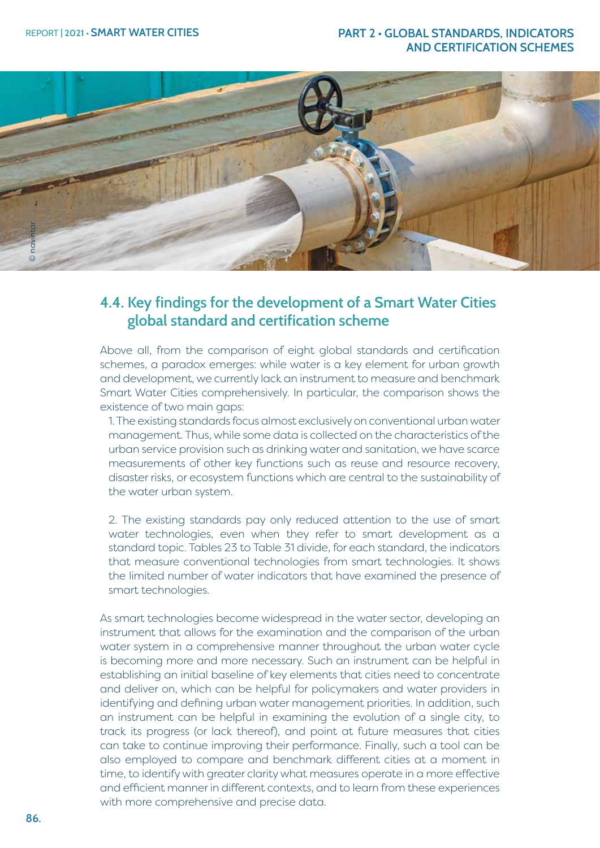

# **4.4. Key findings for the development of a Smart Water Cities global standard and certification scheme**

Above all, from the comparison of eight global standards and certification schemes, a paradox emerges: while water is a key element for urban growth and development, we currently lack an instrument to measure and benchmark Smart Water Cities comprehensively. In particular, the comparison shows the existence of two main gaps:

1. The existing standards focus almost exclusively on conventional urban water management. Thus, while some data is collected on the characteristics of the urban service provision such as drinking water and sanitation, we have scarce measurements of other key functions such as reuse and resource recovery, disaster risks, or ecosystem functions which are central to the sustainability of the water urban system.

2. The existing standards pay only reduced attention to the use of smart water technologies, even when they refer to smart development as a standard topic. Tables 23 to Table 31 divide, for each standard, the indicators that measure conventional technologies from smart technologies. It shows the limited number of water indicators that have examined the presence of smart technologies.

As smart technologies become widespread in the water sector, developing an instrument that allows for the examination and the comparison of the urban water system in a comprehensive manner throughout the urban water cycle is becoming more and more necessary. Such an instrument can be helpful in establishing an initial baseline of key elements that cities need to concentrate and deliver on, which can be helpful for policymakers and water providers in identifying and defining urban water management priorities. In addition, such an instrument can be helpful in examining the evolution of a single city, to track its progress (or lack thereof), and point at future measures that cities can take to continue improving their performance. Finally, such a tool can be also employed to compare and benchmark different cities at a moment in time, to identify with greater clarity what measures operate in a more effective and efficient manner in different contexts, and to learn from these experiences with more comprehensive and precise data.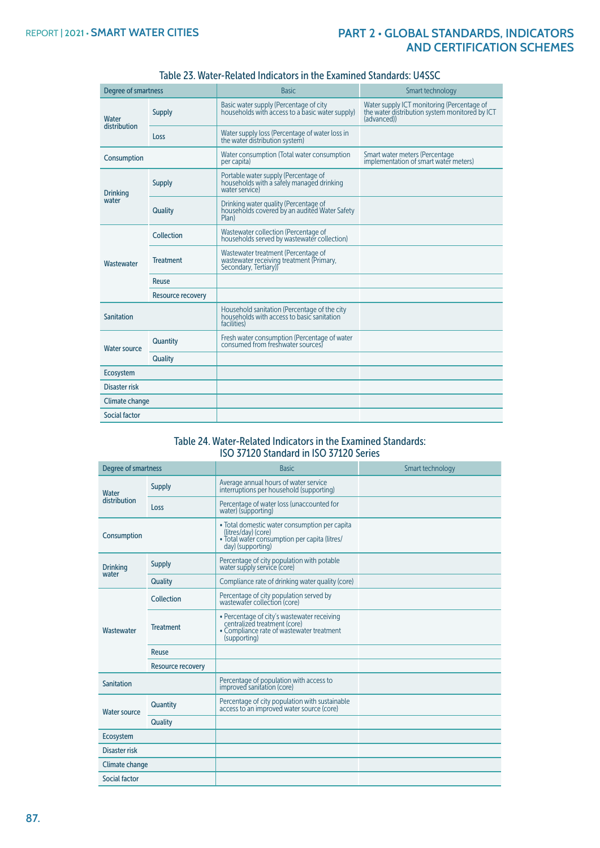| Degree of smartness      |                   | <b>Basic</b>                                                                                              | Smart technology                                                                                           |
|--------------------------|-------------------|-----------------------------------------------------------------------------------------------------------|------------------------------------------------------------------------------------------------------------|
| Water<br>distribution    | <b>Supply</b>     | Basic water supply (Percentage of city<br>households with access to a basic water supply)                 | Water supply ICT monitoring (Percentage of<br>the water distribution system monitored by ICT<br>(advanced) |
|                          | Loss              | Water supply loss (Percentage of water loss in<br>the water distribution system)                          |                                                                                                            |
| Consumption              |                   | Water consumption (Total water consumption<br>per capita)                                                 | Smart water meters (Percentage<br>implementation of smart water meters)                                    |
| <b>Drinking</b><br>water | <b>Supply</b>     | Portable water supply (Percentage of<br>households with a safely managed drinking<br>water service)       |                                                                                                            |
|                          | <b>Quality</b>    | Drinking water quality (Percentage of<br>households covered by an audited Water Safety<br>Plan)           |                                                                                                            |
|                          | Collection        | Wastewater collection (Percentage of<br>households served by wastewater collection)                       |                                                                                                            |
| Wastewater               | <b>Treatment</b>  | Wastewater treatment (Percentage of<br>wastewater receiving treatment (Primary,<br>Secondary, Tertiary))  |                                                                                                            |
|                          | Reuse             |                                                                                                           |                                                                                                            |
|                          | Resource recovery |                                                                                                           |                                                                                                            |
| <b>Sanitation</b>        |                   | Household sanitation (Percentage of the city<br>households with access to basic sanitation<br>facilities) |                                                                                                            |
| <b>Water source</b>      | Quantity          | Fresh water consumption (Percentage of water<br>consumed from freshwater sources)                         |                                                                                                            |
|                          | Quality           |                                                                                                           |                                                                                                            |
| Ecosystem                |                   |                                                                                                           |                                                                                                            |
| Disaster risk            |                   |                                                                                                           |                                                                                                            |
| <b>Climate change</b>    |                   |                                                                                                           |                                                                                                            |
| Social factor            |                   |                                                                                                           |                                                                                                            |

#### Table 23. Water-Related Indicators in the Examined Standards: U4SSC

#### Table 24. Water-Related Indicators in the Examined Standards: ISO 37120 Standard in ISO 37120 Series

| <b>Degree of smartness</b>       |                   | <b>Basic</b>                                                                                                                               | Smart technology |
|----------------------------------|-------------------|--------------------------------------------------------------------------------------------------------------------------------------------|------------------|
| Water<br>distribution            | <b>Supply</b>     | Average annual hours of water service<br>interruptions per household (supporting)                                                          |                  |
|                                  | Loss              | Percentage of water loss (unaccounted for<br>water) (supporting)                                                                           |                  |
| Consumption                      |                   | • Total domestic water consumption per capita<br>(litres/day) (core)<br>· Total water consumption per capita (litres/<br>day) (supporting) |                  |
| <b>Supply</b><br><b>Drinking</b> |                   | Percentage of city population with potable<br>water supply service (core)                                                                  |                  |
| water                            | Quality           | Compliance rate of drinking water quality (core)                                                                                           |                  |
| Wastewater                       | Collection        | Percentage of city population served by<br>wastewater collection (core)                                                                    |                  |
|                                  | <b>Treatment</b>  | • Percentage of city's wastewater receiving<br>centralized treatment (core)<br>• Compliance rate of wastewater treatment<br>(supporting)   |                  |
|                                  | Reuse             |                                                                                                                                            |                  |
|                                  | Resource recovery |                                                                                                                                            |                  |
| <b>Sanitation</b>                |                   | Percentage of population with access to<br>improved sanitation (core)                                                                      |                  |
| <b>Water source</b>              | Quantity          | Percentage of city population with sustainable<br>access to an improved water source (core)                                                |                  |
|                                  | Quality           |                                                                                                                                            |                  |
| Ecosystem                        |                   |                                                                                                                                            |                  |
| Disaster risk                    |                   |                                                                                                                                            |                  |
| Climate change                   |                   |                                                                                                                                            |                  |
| Social factor                    |                   |                                                                                                                                            |                  |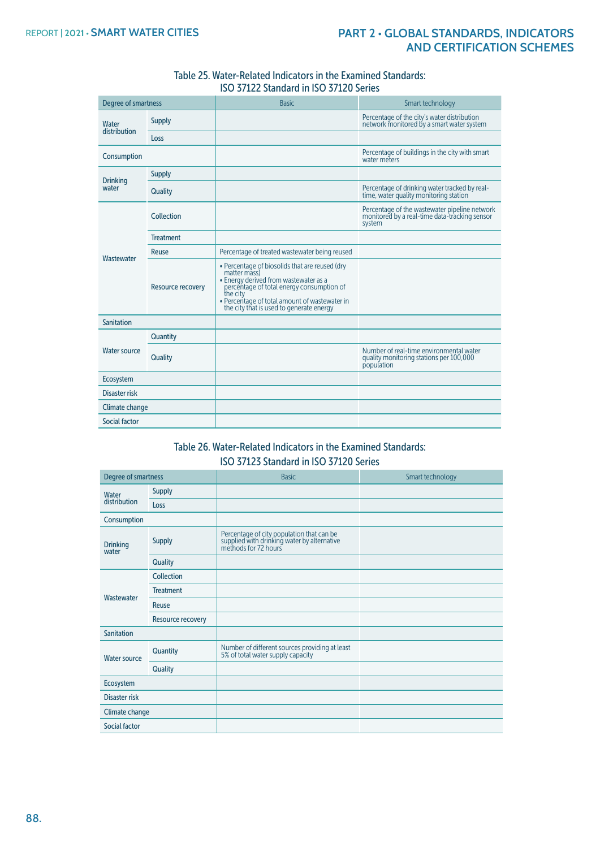| Table 25. Water-Related Indicators in the Examined Standards: |
|---------------------------------------------------------------|
| ISO 37122 Standard in ISO 37120 Series                        |

| <b>Degree of smartness</b> |                          | <b>Basic</b>                                                                                                                                                                                                                                                  | Smart technology                                                                                         |
|----------------------------|--------------------------|---------------------------------------------------------------------------------------------------------------------------------------------------------------------------------------------------------------------------------------------------------------|----------------------------------------------------------------------------------------------------------|
| Water                      | <b>Supply</b>            |                                                                                                                                                                                                                                                               | Percentage of the city's water distribution<br>network monitored by a smart water system                 |
| distribution               | Loss                     |                                                                                                                                                                                                                                                               |                                                                                                          |
| Consumption                |                          |                                                                                                                                                                                                                                                               | Percentage of buildings in the city with smart<br>water meters                                           |
| <b>Drinking</b>            | <b>Supply</b>            |                                                                                                                                                                                                                                                               |                                                                                                          |
| water                      | Quality                  |                                                                                                                                                                                                                                                               | Percentage of drinking water tracked by real-<br>time, water quality monitoring station                  |
|                            | Collection               |                                                                                                                                                                                                                                                               | Percentage of the wastewater pipeline network<br>monitored by a real-time data-tracking sensor<br>system |
|                            | <b>Treatment</b>         |                                                                                                                                                                                                                                                               |                                                                                                          |
|                            | Reuse                    | Percentage of treated wastewater being reused                                                                                                                                                                                                                 |                                                                                                          |
| Wastewater                 | <b>Resource recovery</b> | • Percentage of biosolids that are reused (dry<br>matter mass)<br>• Energy derived from wastewater as a<br>percentage of total energy consumption of<br>the city<br>• Percentage of total amount of wastewater in<br>the city that is used to generate energy |                                                                                                          |
| Sanitation                 |                          |                                                                                                                                                                                                                                                               |                                                                                                          |
|                            | Quantity                 |                                                                                                                                                                                                                                                               |                                                                                                          |
| <b>Water source</b>        | Quality                  |                                                                                                                                                                                                                                                               | Number of real-time environmental water<br>quality monitoring stations per 100,000<br>population         |
| Ecosystem                  |                          |                                                                                                                                                                                                                                                               |                                                                                                          |
| Disaster risk              |                          |                                                                                                                                                                                                                                                               |                                                                                                          |
| Climate change             |                          |                                                                                                                                                                                                                                                               |                                                                                                          |
| Social factor              |                          |                                                                                                                                                                                                                                                               |                                                                                                          |

# Table 26. Water-Related Indicators in the Examined Standards: ISO 37123 Standard in ISO 37120 Series

| Degree of smartness |                   | <b>Basic</b>                                                                                                     | Smart technology |
|---------------------|-------------------|------------------------------------------------------------------------------------------------------------------|------------------|
| Water               | Supply            |                                                                                                                  |                  |
| distribution        | Loss              |                                                                                                                  |                  |
| Consumption         |                   |                                                                                                                  |                  |
| Drinking<br>water   | <b>Supply</b>     | Percentage of city population that can be<br>supplied with drinking water by alternative<br>methods for 72 hours |                  |
|                     | Quality           |                                                                                                                  |                  |
|                     | Collection        |                                                                                                                  |                  |
|                     | <b>Treatment</b>  |                                                                                                                  |                  |
| Wastewater          | Reuse             |                                                                                                                  |                  |
|                     | Resource recovery |                                                                                                                  |                  |
| Sanitation          |                   |                                                                                                                  |                  |
| <b>Water source</b> | Quantity          | Number of different sources providing at least<br>5% of total water supply capacity                              |                  |
|                     | Quality           |                                                                                                                  |                  |
| Ecosystem           |                   |                                                                                                                  |                  |
| Disaster risk       |                   |                                                                                                                  |                  |
| Climate change      |                   |                                                                                                                  |                  |
| Social factor       |                   |                                                                                                                  |                  |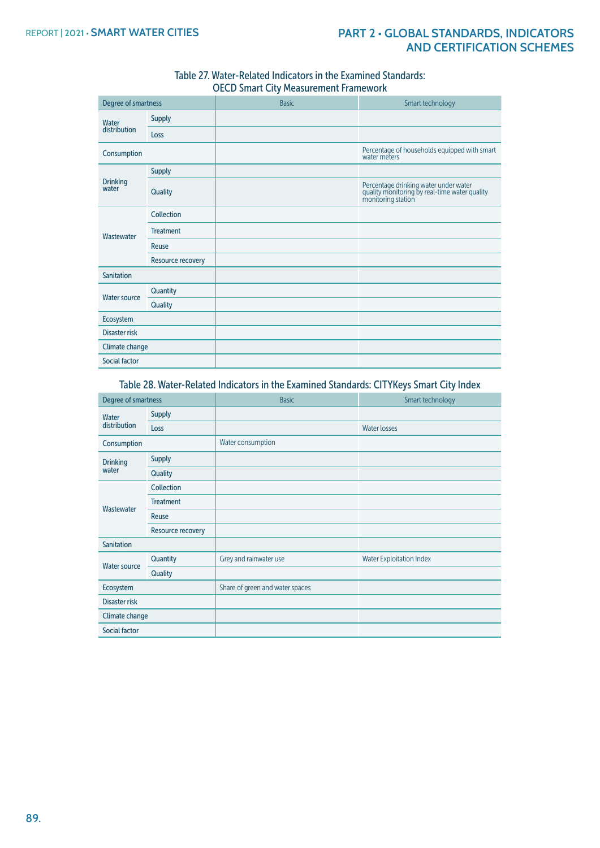#### Table 27. Water-Related Indicators in the Examined Standards: OECD Smart City Measurement Framework

| Degree of smartness   |                   | <b>Basic</b> | Smart technology                                                                                             |
|-----------------------|-------------------|--------------|--------------------------------------------------------------------------------------------------------------|
| Water<br>distribution | <b>Supply</b>     |              |                                                                                                              |
|                       | Loss              |              |                                                                                                              |
| Consumption           |                   |              | Percentage of households equipped with smart<br>water meters                                                 |
| Drinking<br>water     | <b>Supply</b>     |              |                                                                                                              |
|                       | Quality           |              | Percentage drinking water under water<br>quality monitoring by real-time water quality<br>monitoring station |
|                       | Collection        |              |                                                                                                              |
| Wastewater            | <b>Treatment</b>  |              |                                                                                                              |
|                       | Reuse             |              |                                                                                                              |
|                       | Resource recovery |              |                                                                                                              |
| <b>Sanitation</b>     |                   |              |                                                                                                              |
| <b>Water source</b>   | Quantity          |              |                                                                                                              |
|                       | Quality           |              |                                                                                                              |
| Ecosystem             |                   |              |                                                                                                              |
| Disaster risk         |                   |              |                                                                                                              |
| Climate change        |                   |              |                                                                                                              |
| Social factor         |                   |              |                                                                                                              |

Table 28. Water-Related Indicators in the Examined Standards: CITYKeys Smart City Index

| Degree of smartness      |                   | <b>Basic</b>                    | Smart technology                |
|--------------------------|-------------------|---------------------------------|---------------------------------|
| Water<br>distribution    | <b>Supply</b>     |                                 |                                 |
|                          | Loss              |                                 | <b>Water losses</b>             |
| Consumption              |                   | Water consumption               |                                 |
| <b>Drinking</b><br>water | <b>Supply</b>     |                                 |                                 |
|                          | Quality           |                                 |                                 |
|                          | Collection        |                                 |                                 |
|                          | <b>Treatment</b>  |                                 |                                 |
| Wastewater               | Reuse             |                                 |                                 |
|                          | Resource recovery |                                 |                                 |
| <b>Sanitation</b>        |                   |                                 |                                 |
| <b>Water source</b>      | Quantity          | Grey and rainwater use          | <b>Water Exploitation Index</b> |
|                          | Quality           |                                 |                                 |
| Ecosystem                |                   | Share of green and water spaces |                                 |
| Disaster risk            |                   |                                 |                                 |
| Climate change           |                   |                                 |                                 |
| <b>Social factor</b>     |                   |                                 |                                 |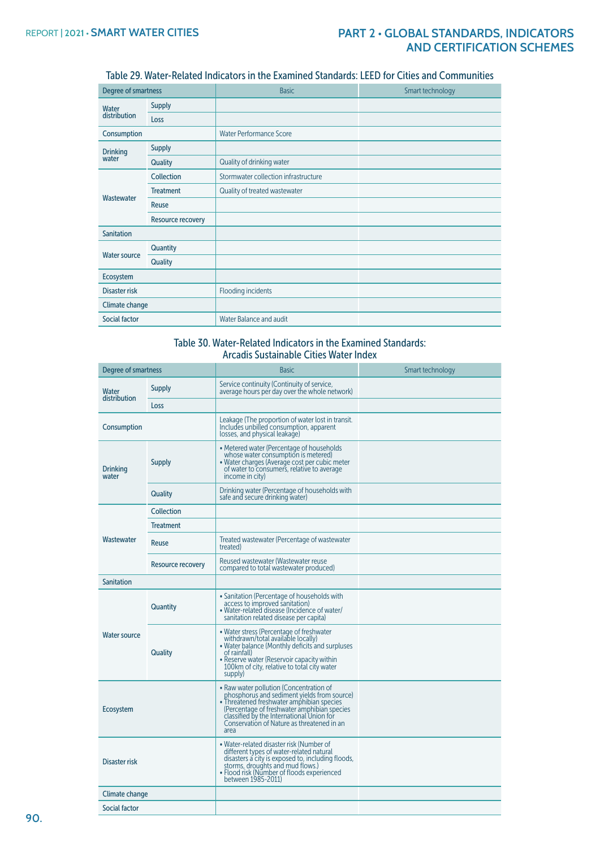# Table 29. Water-Related Indicators in the Examined Standards: LEED for Cities and Communities

| <b>Degree of smartness</b> |                   | <b>Basic</b>                         | Smart technology |
|----------------------------|-------------------|--------------------------------------|------------------|
| Water<br>distribution      | <b>Supply</b>     |                                      |                  |
|                            | Loss              |                                      |                  |
| Consumption                |                   | <b>Water Performance Score</b>       |                  |
| <b>Drinking</b><br>water   | <b>Supply</b>     |                                      |                  |
|                            | Quality           | Quality of drinking water            |                  |
| Wastewater                 | Collection        | Stormwater collection infrastructure |                  |
|                            | <b>Treatment</b>  | Quality of treated wastewater        |                  |
|                            | Reuse             |                                      |                  |
|                            | Resource recovery |                                      |                  |
| <b>Sanitation</b>          |                   |                                      |                  |
| <b>Water source</b>        | Quantity          |                                      |                  |
|                            | Quality           |                                      |                  |
| Ecosystem                  |                   |                                      |                  |
| Disaster risk              |                   | Flooding incidents                   |                  |
| Climate change             |                   |                                      |                  |
| Social factor              |                   | Water Balance and audit              |                  |

#### Table 30. Water-Related Indicators in the Examined Standards: Arcadis Sustainable Cities Water Index

| Degree of smartness      |                   | <b>Basic</b>                                                                                                                                                                                                                                                                          | Smart technology |
|--------------------------|-------------------|---------------------------------------------------------------------------------------------------------------------------------------------------------------------------------------------------------------------------------------------------------------------------------------|------------------|
| Water<br>distribution    | <b>Supply</b>     | Service continuity (Continuity of service,<br>average hours per day over the whole network)                                                                                                                                                                                           |                  |
|                          | Loss              |                                                                                                                                                                                                                                                                                       |                  |
| Consumption              |                   | Leakage (The proportion of water lost in transit.<br>Includes unbilled consumption, apparent<br>losses, and physical leakage)                                                                                                                                                         |                  |
| <b>Drinking</b><br>water | <b>Supply</b>     | • Metered water (Percentage of households<br>whose water consumption is metered)<br>• Water charges (Average cost per cubic meter<br>of water to consumers, relative to average<br>income in city)                                                                                    |                  |
|                          | Quality           | Drinking water (Percentage of households with<br>safe and secure drinking water)                                                                                                                                                                                                      |                  |
|                          | Collection        |                                                                                                                                                                                                                                                                                       |                  |
|                          | <b>Treatment</b>  |                                                                                                                                                                                                                                                                                       |                  |
| Wastewater               | Reuse             | Treated wastewater (Percentage of wastewater<br>treated)                                                                                                                                                                                                                              |                  |
|                          | Resource recovery | Reused wastewater (Wastewater reuse<br>compared to total wastewater produced)                                                                                                                                                                                                         |                  |
| Sanitation               |                   |                                                                                                                                                                                                                                                                                       |                  |
| <b>Water source</b>      | Quantity          | • Sanitation (Percentage of households with<br>access to improved sanitation)<br>• Water-related disease (Incidence of water/<br>sanitation related disease per capita)                                                                                                               |                  |
|                          | Quality           | • Water stress (Percentage of freshwater<br>withdrawn/total available locally)<br>. Water balance (Monthly deficits and surpluses<br>of rainfall)<br>• Reserve water (Reservoir capacity within<br>100km of city, relative to total city water<br>supply)                             |                  |
| Ecosystem                |                   | • Raw water pollution (Concentration of<br>phosphorus and sediment yields from source)<br>• Threatened freshwater amphibian species<br>(Percentage of freshwater amphibian species<br>classified by the International Union for<br>Conservation of Nature as threatened in an<br>area |                  |
| Disaster risk            |                   | • Water-related disaster risk (Number of<br>different types of water-related natural<br>disasters a city is exposed to, including floods,<br>storms, droughts and mud flows.)<br>• Flood risk (Number of floods experienced<br>between 1985-2011)                                     |                  |
| Climate change           |                   |                                                                                                                                                                                                                                                                                       |                  |
| Social factor            |                   |                                                                                                                                                                                                                                                                                       |                  |